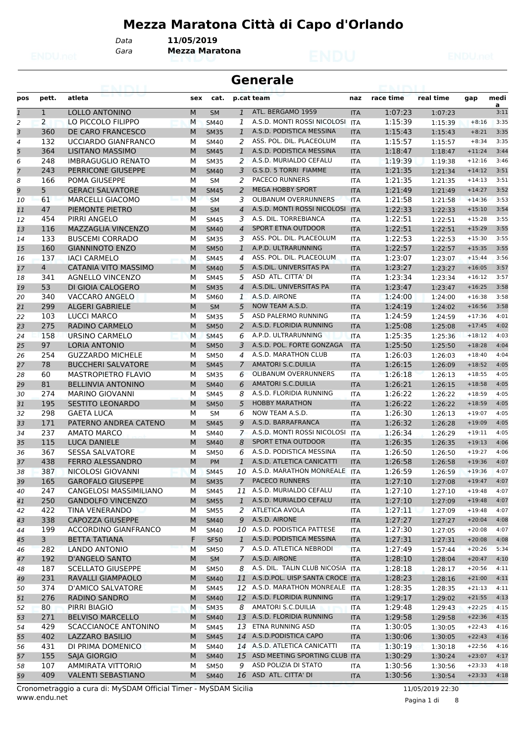# **Mezza Maratona Città di Capo d'Orlando**

*Data* **11/05/2019**

*Gara* **Mezza Maratona**

|              |                | entrum                                        |        |                            |                   | <b>Generale</b>                                 |                          |                    |                    |                      |              |
|--------------|----------------|-----------------------------------------------|--------|----------------------------|-------------------|-------------------------------------------------|--------------------------|--------------------|--------------------|----------------------|--------------|
| pos          | pett.          | atleta                                        | sex    | cat.                       |                   | p.cat team                                      | naz                      | race time          | real time          | gap                  | medi<br>a    |
| $\mathbf{1}$ | $\mathbf{1}$   | LOLLO ANTONINO                                | M      | <b>SM</b>                  | $\mathbf{1}$      | ATL. BERGAMO 1959                               | <b>ITA</b>               | 1:07:23            | 1:07:23            |                      | 3:11         |
| 2            | $\overline{2}$ | LO PICCOLO FILIPPO                            | M      | <b>SM40</b>                | 1                 | A.S.D. MONTI ROSSI NICOLOSI                     | <b>ITA</b>               | 1:15:39            | 1:15:39            | $+8:16$              | 3:35         |
| 3            | 360            | DE CARO FRANCESCO                             | M      | <b>SM35</b>                | $\mathbf{1}$      | A.S.D. PODISTICA MESSINA                        | <b>ITA</b>               | 1:15:43            | 1:15:43            | $+8:21$              | 3:35         |
| 4            | 132            | UCCIARDO GIANFRANCO                           | М      | <b>SM40</b>                | 2                 | ASS. POL. DIL. PLACEOLUM                        | <b>ITA</b>               | 1:15:57            | 1:15:57            | $+8:34$              | 3:35         |
| 5            | 364            | <b>LISITANO MASSIMO</b>                       | M      | <b>SM45</b>                | $\mathbf{1}$      | A.S.D. PODISTICA MESSINA                        | <b>ITA</b>               | 1:18:47            | 1:18:47            | $+11:24$             | 3:44         |
| 6            | 248            | <b>IMBRAGUGLIO RENATO</b>                     | м      | <b>SM35</b>                | 2                 | A.S.D. MURIALDO CEFALU                          | <b>ITA</b>               | 1:19:39            | 1:19:38            | $+12:16$             | 3:46         |
| 7            | 243            | PERRICONE GIUSEPPE                            | M      | <b>SM40</b>                | 3                 | G.S.D. 5 TORRI FIAMME                           | <b>ITA</b>               | 1:21:35            | 1:21:34            | $+14:12$             | 3:51         |
| 8            | 166            | POMA GIUSEPPE                                 | М      | <b>SM</b>                  | 2                 | <b>PACECO RUNNERS</b>                           | <b>ITA</b>               | 1:21:35            | 1:21:35            | $+14:13$             | 3:51         |
| 9            | 5              | <b>GERACI SALVATORE</b>                       | M      | <b>SM45</b>                | 2                 | <b>MEGA HOBBY SPORT</b>                         | <b>ITA</b>               | 1:21:49            | 1:21:49            | $+14:27$             | 3:52         |
| 10           | 61             | <b>MARCELLI GIACOMO</b>                       | M      | <b>SM</b>                  | 3                 | <b>OLIBANUM OVERRUNNERS</b>                     | <b>ITA</b>               | 1:21:58            | 1:21:58            | $+14:36$             | 3:53         |
| 11           | 47             | PIEMONTE PIETRO                               | M      | <b>SM</b>                  | 4                 | A.S.D. MONTI ROSSI NICOLOSI                     | <b>ITA</b>               | 1:22:33            | 1:22:33            | $+15:10$             | 3:54         |
| 12           | 454            | PIRRI ANGELO                                  | м      | <b>SM45</b>                | 3                 | A.S. DIL. TORREBIANCA                           | <b>ITA</b>               | 1:22:51            | 1:22:51            | $+15:28$             | 3:55         |
| 13           | 116            | <b>MAZZAGLIA VINCENZO</b>                     | M      | <b>SM40</b>                | $\overline{4}$    | <b>SPORT ETNA OUTDOOR</b>                       | <b>ITA</b>               | 1:22:51            | 1:22:51            | $+15:29$             | 3:55         |
| 14           | 133            | <b>BUSCEMI CORRADO</b>                        | м      | <b>SM35</b>                | 3                 | ASS. POL. DIL. PLACEOLUM<br>A.P.D. ULTRARUNNING | <b>ITA</b>               | 1:22:53            | 1:22:53            | $+15:30$             | 3:55<br>3:55 |
| 15           | 160<br>137     | <b>GIANNINOTO ENZO</b><br><b>IACI CARMELO</b> | M<br>M | <b>SM50</b>                | $\mathbf{1}$<br>4 | ASS. POL. DIL. PLACEOLUM                        | <b>ITA</b>               | 1:22:57            | 1:22:57            | $+15:35$<br>$+15:44$ | 3:56         |
| 16<br>17     | 4              | <b>CATANIA VITO MASSIMO</b>                   | M      | <b>SM45</b><br><b>SM40</b> | 5                 | A.S.DIL. UNIVERSITAS PA                         | <b>ITA</b><br><b>ITA</b> | 1:23:07<br>1:23:27 | 1:23:07            | $+16:05$             | 3:57         |
| 18           | 341            | <b>AGNELLO VINCENZO</b>                       | м      | <b>SM45</b>                | 5                 | ASD ATL. CITTA' DI                              | <b>ITA</b>               | 1:23:34            | 1:23:27<br>1:23:34 | $+16:12$             | 3:57         |
| 19           | 53             | DI GIOIA CALOGERO                             | M      | <b>SM35</b>                | $\overline{4}$    | A.S.DIL. UNIVERSITAS PA                         | <b>ITA</b>               | 1:23:47            | 1:23:47            | $+16:25$             | 3:58         |
| 20           | 340            | VACCARO ANGELO                                | М      | SM60                       | $\mathbf{1}$      | A.S.D. AIRONE                                   | <b>ITA</b>               | 1:24:00            | 1:24:00            | $+16:38$             | 3:58         |
| 21           | 299            | <b>ALGERI GABRIELE</b>                        | M      | <b>SM</b>                  | 5                 | NOW TEAM A.S.D.                                 | <b>ITA</b>               | 1:24:19            | 1:24:02            | $+16:56$             | 3:58         |
| 22           | 103            | LUCCI MARCO                                   | М      | <b>SM35</b>                | 5                 | ASD PALERMO RUNNING                             | <b>ITA</b>               | 1:24:59            | 1:24:59            | $+17:36$             | 4:01         |
| 23           | 275            | RADINO CARMELO                                | M      | <b>SM50</b>                | 2                 | A.S.D. FLORIDIA RUNNING                         | <b>ITA</b>               | 1:25:08            | 1:25:08            | $+17:45$             | 4:02         |
| 24           | 158            | <b>URSINO CARMELO</b>                         | M      | <b>SM45</b>                | 6                 | A.P.D. ULTRARUNNING                             | <b>ITA</b>               | 1:25:35            | 1:25:36            | $+18:12$             | 4:03         |
| 25           | 97             | <b>LORIA ANTONIO</b>                          | M      | <b>SM50</b>                | 3                 | A.S.D. POL. FORTE GONZAGA                       | <b>ITA</b>               | 1:25:50            | 1:25:50            | $+18:28$             | 4:04         |
| 26           | 254            | <b>GUZZARDO MICHELE</b>                       | М      | <b>SM50</b>                | 4                 | A.S.D. MARATHON CLUB                            | <b>ITA</b>               | 1:26:03            | 1:26:03            | $+18:40$             | 4:04         |
| 27           | 78             | <b>BUCCHERI SALVATORE</b>                     | M      | <b>SM45</b>                | 7                 | <b>AMATORI S.C.DUILIA</b>                       | <b>ITA</b>               | 1:26:15            | 1:26:09            | $+18:52$             | 4:05         |
| 28           | 60             | <b>MASTROPIETRO FLAVIO</b>                    | М      | <b>SM35</b>                | 6                 | <b>OLIBANUM OVERRUNNERS</b>                     | <b>ITA</b>               | 1:26:18            | 1:26:13            | $+18:55$             | 4:05         |
| 29           | 81             | <b>BELLINVIA ANTONINO</b>                     | M      | <b>SM40</b>                | 6                 | <b>AMATORI S.C.DUILIA</b>                       | <b>ITA</b>               | 1:26:21            | 1:26:15            | $+18:58$             | 4:05         |
| 30           | 274            | <b>MARINO GIOVANNI</b>                        | м      | <b>SM45</b>                | 8                 | A.S.D. FLORIDIA RUNNING                         | <b>ITA</b>               | 1:26:22            | 1:26:22            | $+18:59$             | 4:05         |
| 31           | 195            | <b>SESTITO LEONARDO</b>                       | M      | <b>SM50</b>                | 5                 | <b>HOBBY MARATHON</b>                           | <b>ITA</b>               | 1:26:22            | 1:26:22            | $+18:59$             | 4:05         |
| 32           | 298            | <b>GAETA LUCA</b>                             | M      | <b>SM</b>                  | 6                 | NOW TEAM A.S.D.                                 | <b>ITA</b>               | 1:26:30            | 1:26:13            | $+19:07$             | 4:05         |
| 33           | 171            | PATERNO ANDREA CATENO                         | M      | <b>SM45</b>                | 9                 | A.S.D. BARRAFRANCA                              | <b>ITA</b>               | 1:26:32            | 1:26:28            | $+19:09$             | 4:05         |
| 34           | 237            | <b>AMATO MARCO</b>                            | М      | <b>SM40</b>                | $\mathcal{I}$     | A.S.D. MONTI ROSSI NICOLOSI                     | <b>ITA</b>               | 1:26:34            | 1:26:29            | $+19:11$             | 4:05         |
| 35           | 115            | <b>LUCA DANIELE</b>                           | M      | <b>SM40</b>                | 8                 | <b>SPORT ETNA OUTDOOR</b>                       | <b>ITA</b>               | 1:26:35            | 1:26:35            | $+19:13$             | 4:06         |
| 36           | 367            | <b>SESSA SALVATORE</b>                        | М      | <b>SM50</b>                | 6                 | A.S.D. PODISTICA MESSINA                        | <b>ITA</b>               | 1:26:50            | 1:26:50            | $+19:27$             | 4:06         |
| 37           | 438            | <b>FERRO ALESSANDRO</b>                       | M      | PM                         | $\mathbf{1}$      | A.S.D. ATLETICA CANICATTI                       | <b>ITA</b>               | 1:26:58            | 1:26:58            | $+19:36$             | 4:07         |
| 38           | 387            | NICOLOSI GIOVANNI                             | M      | <b>SM45</b>                |                   | 10 A.S.D. MARATHON MONREALE ITA                 |                          | 1:26:59            | 1:26:59            | $+19:36$             | 4:07         |
| 39           | 165            | <b>GAROFALO GIUSEPPE</b>                      | M      | <b>SM35</b>                | $7^{\circ}$       | <b>PACECO RUNNERS</b>                           | <b>ITA</b>               | 1:27:10            | 1:27:08            | $+19:47$             | 4:07         |
| 40           | 247            | CANGELOSI MASSIMILIANO                        | М      | SM45                       |                   | 11 A.S.D. MURIALDO CEFALU                       | ITA                      | 1:27:10            | 1:27:10            | $+19:48$             | 4:07         |
| 41           | 250            | <b>GANDOLFO VINCENZO</b>                      | M      | <b>SM55</b>                | $\mathbf{1}$      | A.S.D. MURIALDO CEFALU                          | <b>ITA</b>               | 1:27:10            | 1:27:09            | $+19:48$             | 4:07         |
| 42           | 422            | TINA VENERANDO                                | М      | <b>SM55</b>                |                   | 2 ATLETICA AVOLA                                | ITA                      | 1:27:11            | 1:27:09            | $+19:48$             | 4:07         |
| 43           | 338            | <b>CAPOZZA GIUSEPPE</b>                       | M      | <b>SM40</b>                |                   | 9 A.S.D. AIRONE                                 | <b>ITA</b>               | 1:27:27            | 1:27:27            | $+20:04$             | 4:08         |
| 44           | 199            | <b>ACCORDINO GIANFRANCO</b>                   | м      | SM40                       |                   | 10 A.S.D. PODISTICA PATTESE                     | ITA                      | 1:27:30            | 1:27:05            | $+20:08$             | 4:07         |
| 45           | $\overline{3}$ | <b>BETTA TATIANA</b>                          | F      | <b>SF50</b>                | $\mathbf{1}$      | A.S.D. PODISTICA MESSINA                        | <b>ITA</b>               | 1:27:31            | 1:27:31            | $+20:08$             | 4:08         |
| 46           | 282            | LANDO ANTONIO                                 | M      | <b>SM50</b>                |                   | 7 A.S.D. ATLETICA NEBRODI                       | <b>ITA</b>               | 1:27:49            | 1:57:44            | $+20:26$             | 5:34         |
| 47           | 192            | D'ANGELO SANTO                                | M      | SM                         | $7^{\circ}$       | A.S.D. AIRONE                                   | <b>ITA</b>               | 1:28:10            | 1:28:04            | $+20:47$             | 4:10         |
| 48           | 187            | <b>SCELLATO GIUSEPPE</b>                      | М      | <b>SM50</b>                | 8                 | A.S. DIL. TALIN CLUB NICOSIA ITA                |                          | 1:28:18            | 1:28:17            | $+20:56$             | 4:11         |
| 49           | 231            | RAVALLI GIAMPAOLO                             | M      | <b>SM40</b>                |                   | 11 A.S.D.POL. UISP SANTA CROCE ITA              |                          | 1:28:23            | 1:28:16            | $+21:00$             | 4:11         |
| 50           | 374            | D'AMICO SALVATORE                             | м      | SM45                       |                   | 12 A.S.D. MARATHON MONREALE                     | ITA                      | 1:28:35            | 1:28:35            | $+21:13$             | 4:11         |
| 51           | 276            | RADINO SANDRO                                 | M      | <b>SM40</b>                |                   | 12 A.S.D. FLORIDIA RUNNING                      | ITA                      | 1:29:17            | 1:29:02            | $+21:55$             | 4:13         |
| 52           | 80             | PIRRI BIAGIO                                  | M      | <b>SM35</b>                | 8                 | <b>AMATORI S.C.DUILIA</b>                       | <b>ITA</b>               | 1:29:48            | 1:29:43            | $+22:25$             | 4:15         |
| 53           | 271            | <b>BELVISO MARCELLO</b>                       | M      | <b>SM40</b>                |                   | 13 A.S.D. FLORIDIA RUNNING                      | <b>ITA</b>               | 1:29:58            | 1:29:58            | $+22:36$             | 4:15         |
| 54           | 429            | <b>SCACCIANOCE ANTONINO</b>                   | М      | <b>SM45</b>                | 13                | ETNA RUNNING ASD                                | ITA                      | 1:30:05            | 1:30:05            | $+22:43$             | 4:16         |
| 55           | 402            | LAZZARO BASILIO                               | M      | <b>SM45</b>                |                   | 14 A.S.D. PODISTICA CAPO                        | <b>ITA</b>               | 1:30:06            | 1:30:05            | $+22:43$             | 4:16         |
| 56           | 431            | DI PRIMA DOMENICO                             | м      | SM40                       |                   | 14 A.S.D. ATLETICA CANICATTI                    | ITA                      | 1:30:19            | 1:30:18            | $+22:56$             | 4:16         |
| 57           | 155            | SAJA GIORGIO                                  | M      | <b>SM40</b>                |                   | 15 ASD MEETING SPORTING CLUB ITA                |                          | 1:30:29            | 1:30:24            | $+23:07$             | 4:17         |
| 58           | 107            | AMMIRATA VITTORIO                             | М      | <b>SM50</b>                | 9                 | ASD POLIZIA DI STATO                            | ITA                      | 1:30:56            | 1:30:56            | $+23:33$             | 4:18         |
| 59           | 409            | <b>VALENTI SEBASTIANO</b>                     | M      | <b>SM40</b>                |                   | 16 ASD ATL. CITTA' DI                           | <b>ITA</b>               | 1:30:56            | 1:30:54            | $+23:33$             | 4:18         |

Pagina 1 di 8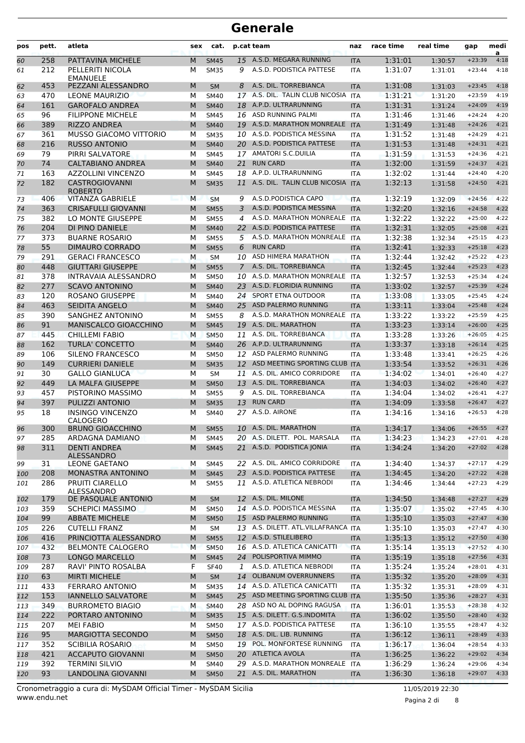| pos      | pett.      | atleta                                    | sex    | cat.                       |                | p.cat team                                                | naz               | race time          | real time          | gap                  | medi<br>a    |
|----------|------------|-------------------------------------------|--------|----------------------------|----------------|-----------------------------------------------------------|-------------------|--------------------|--------------------|----------------------|--------------|
| 60       | 258        | PATTAVINA MICHELE                         | M      | <b>SM45</b>                | 15             | A.S.D. MEGARA RUNNING                                     | <b>ITA</b>        | 1:31:01            | 1:30:57            | $+23:39$             | 4:18         |
| 61       | 212        | PELLERITI NICOLA<br><b>EMANUELE</b>       | м      | <b>SM35</b>                | 9              | A.S.D. PODISTICA PATTESE                                  | <b>ITA</b>        | 1:31:07            | 1:31:01            | $+23:44$             | 4:18         |
| 62       | 453        | PEZZANI ALESSANDRO                        | M      | <b>SM</b>                  | 8              | A.S. DIL. TORREBIANCA                                     | <b>ITA</b>        | 1:31:08            | 1:31:03            | $+23:45$             | 4:18         |
| 63       | 470        | <b>LEONE MAURIZIO</b>                     | м      | <b>SM40</b>                |                | 17 A.S. DIL. TALIN CLUB NICOSIA ITA                       |                   | 1:31:21            | 1:31:20            | $+23:59$             | 4:19         |
| 64       | 161        | <b>GAROFALO ANDREA</b>                    | M      | <b>SM40</b>                | 18             | A.P.D. ULTRARUNNING                                       | <b>ITA</b>        | 1:31:31            | 1:31:24            | $+24:09$             | 4:19         |
| 65       | 96         | <b>FILIPPONE MICHELE</b>                  | м      | <b>SM45</b>                | 16             | ASD RUNNING PALMI                                         | <b>ITA</b>        | 1:31:46            | 1:31:46            | $+24:24$             | 4:20         |
| 66       | 389        | <b>RIZZO ANDREA</b>                       | M      | <b>SM40</b>                |                | 19 A.S.D. MARATHON MONREALE                               | <b>ITA</b>        | 1:31:49            | 1:31:48            | $+24:26$             | 4:21         |
| 67       | 361        | <b>MUSSO GIACOMO VITTORIO</b>             | м      | <b>SM35</b>                |                | 10 A.S.D. PODISTICA MESSINA                               | <b>ITA</b>        | 1:31:52            | 1:31:48            | $+24:29$             | 4:21         |
| 68       | 216        | <b>RUSSO ANTONIO</b>                      | M      | <b>SM40</b>                |                | 20 A.S.D. PODISTICA PATTESE                               | <b>ITA</b>        | 1:31:53            | 1:31:48            | $+24:31$             | 4:21         |
| 69       | 79         | PIRRI SALVATORE                           | М      | <b>SM45</b>                |                | 17 AMATORI S.C.DUILIA                                     | ITA               | 1:31:59            | 1:31:53            | $+24:36$             | 4:21         |
| 70       | 74         | <b>CALTABIANO ANDREA</b>                  | M      | <b>SM40</b>                | 21             | <b>RUN CARD</b>                                           | <b>ITA</b>        | 1:32:00            | 1:31:59            | $+24:37$             | 4:21         |
| 71       | 163        | <b>AZZOLLINI VINCENZO</b>                 | м      | <b>SM45</b>                | 18             | A.P.D. ULTRARUNNING                                       | <b>ITA</b>        | 1:32:02            | 1:31:44            | $+24:40$             | 4:20         |
| 72       | 182        | <b>CASTROGIOVANNI</b><br><b>ROBERTO</b>   | M      | <b>SM35</b>                | 11             | A.S. DIL. TALIN CLUB NICOSIA ITA                          |                   | 1:32:13            | 1:31:58            | $+24:50$             | 4:21         |
| 73       | 406        | <b>VITANZA GABRIELE</b>                   | M      | <b>SM</b>                  | 9              | A.S.D.PODISTICA CAPO                                      | <b>ITA</b>        | 1:32:19            | 1:32:09            | $+24:56$             | 4:22         |
| 74       | 363        | <b>CRISAFULLI GIOVANNI</b>                | M      | <b>SM55</b>                | 3              | A.S.D. PODISTICA MESSINA                                  | <b>ITA</b>        | 1:32:20            | 1:32:16            | $+24:58$             | 4:22         |
| 75       | 382        | LO MONTE GIUSEPPE                         | м      | <b>SM55</b>                | 4              | A.S.D. MARATHON MONREALE                                  | <b>ITA</b>        | 1:32:22            | 1:32:22            | $+25:00$             | 4:22         |
| 76       | 204        | DI PINO DANIELE                           | M      | <b>SM40</b>                |                | 22 A.S.D. PODISTICA PATTESE                               | <b>ITA</b>        | 1:32:31            | 1:32:05            | $+25:08$             | 4:21         |
| 77       | 373        | <b>BUARNE ROSARIO</b>                     | М      | <b>SM55</b>                | 5              | A.S.D. MARATHON MONREALE                                  | <b>ITA</b>        | 1:32:38            | 1:32:34            | $+25:15$             | 4:23         |
| 78       | 55         | <b>DIMAURO CORRADO</b>                    | M      | <b>SM55</b>                | 6              | <b>RUN CARD</b>                                           | <b>ITA</b>        | 1:32:41            | 1:32:33            | $+25:18$             | 4:23         |
| 79       | 291        | <b>GERACI FRANCESCO</b>                   | M      | <b>SM</b>                  | 10             | ASD HIMERA MARATHON                                       | <b>ITA</b>        | 1:32:44            | 1:32:42            | $+25:22$             | 4:23         |
| 80       | 448        | <b>GIUTTARI GIUSEPPE</b>                  | M      | <b>SM55</b>                | $\overline{7}$ | A.S. DIL. TORREBIANCA                                     | <b>ITA</b>        | 1:32:45            | 1:32:44            | $+25:23$             | 4:23         |
| 81       | 378        | <b>INTRAVAIA ALESSANDRO</b>               | м      | <b>SM50</b>                | 10             | A.S.D. MARATHON MONREALE                                  | <b>ITA</b>        | 1:32:57            | 1:32:53            | $+25:34$             | 4:24         |
| 82       | 277        | <b>SCAVO ANTONINO</b>                     | M      | <b>SM40</b>                |                | 23 A.S.D. FLORIDIA RUNNING                                | <b>ITA</b>        | 1:33:02            | 1:32:57            | $+25:39$             | 4:24         |
| 83       | 120        | <b>ROSANO GIUSEPPE</b>                    | М      | <b>SM40</b>                | 24             | <b>SPORT ETNA OUTDOOR</b>                                 | <b>ITA</b>        | 1:33:08            | 1:33:05            | $+25:45$             | 4:24         |
| 84       | 463        | <b>SEIDITA ANGELO</b>                     | M      | <b>SM40</b>                | 25             | ASD PALERMO RUNNING                                       | <b>ITA</b>        | 1:33:11            | 1:33:04            | $+25:48$             | 4:24         |
| 85       | 390        | SANGHEZ ANTONINO                          | M      | <b>SM55</b>                | 8              | A.S.D. MARATHON MONREALE                                  | <b>ITA</b>        | 1:33:22            | 1:33:22            | $+25:59$             | 4:25         |
| 86       | 91         | MANISCALCO GIOACCHINO                     | M      | <b>SM45</b>                | 19             | A.S. DIL. MARATHON                                        | <b>ITA</b>        | 1:33:23            | 1:33:14            | $+26:00$             | 4:25         |
| 87       | 445        | <b>CHILLEMI FABIO</b>                     | M      | <b>SM50</b>                | 11             | A.S. DIL. TORREBIANCA                                     | <b>ITA</b>        | 1:33:28            | 1:33:26            | $+26:05$             | 4:25         |
| 88       | 162        | <b>TURLA' CONCETTO</b>                    | M      | <b>SM40</b>                |                | 26 A.P.D. ULTRARUNNING                                    | <b>ITA</b>        | 1:33:37            | 1:33:18            | $+26:14$             | 4:25         |
| 89       | 106        | SILENO FRANCESCO                          | М      | <b>SM50</b>                | 12             | ASD PALERMO RUNNING                                       | <b>ITA</b>        | 1:33:48            | 1:33:41            | $+26:25$             | 4:26         |
| 90       | 149        | <b>CURRIERI DANIELE</b>                   | M      | <b>SM35</b>                | 12             | ASD MEETING SPORTING CLUB ITA                             |                   | 1:33:54            | 1:33:52            | $+26:31$             | 4:26         |
| 91       | 30         | <b>GALLO GIANLUCA</b>                     | М      | <b>SM</b>                  |                | 11 A.S. DIL. AMICO CORRIDORE                              | <b>ITA</b>        | 1:34:02            | 1:34:01            | $+26:40$             | 4:27         |
| 92       | 449        | LA MALFA GIUSEPPE                         | M      | <b>SM50</b>                | 13             | A.S. DIL. TORREBIANCA                                     | <b>ITA</b>        | 1:34:03            | 1:34:02            | $+26:40$             | 4:27         |
| 93       | 457        | PISTORINO MASSIMO                         | м      | <b>SM55</b>                | 9              | A.S. DIL. TORREBIANCA                                     | <b>ITA</b>        | 1:34:04            | 1:34:02            | $+26:41$             | 4:27         |
| 94       | 397        | PULIZZI ANTONIO                           | M      | <b>SM35</b>                | 13             | <b>RUN CARD</b>                                           | <b>ITA</b>        | 1:34:09            | 1:33:58            | $+26:47$             | 4:27         |
| 95       | 18         | <b>INSINGO VINCENZO</b><br>CALOGERO       | м      | <b>SM40</b>                |                | 27 A.S.D. AIRONE<br>10 A.S. DIL. MARATHON                 | <b>ITA</b>        | 1:34:16            | 1:34:16            | $+26:53$             | 4:28         |
| 96       | 300        | <b>BRUNO GIOACCHINO</b>                   | M      | <b>SM55</b>                |                |                                                           | <b>ITA</b>        | 1:34:17            | 1:34:06            | $+26:55$             | 4:27         |
| 97<br>98 | 285<br>311 | ARDAGNA DAMIANO<br><b>DENTI ANDREA</b>    | М<br>M | <b>SM45</b><br><b>SM45</b> |                | 20 A.S. DILETT. POL. MARSALA<br>21 A.S.D. PODISTICA JONIA | ITA<br><b>ITA</b> | 1:34:23<br>1:34:24 | 1:34:23<br>1:34:20 | $+27:01$<br>$+27:02$ | 4:28<br>4:28 |
| 99       | 31         | <b>ALESSANDRO</b><br><b>LEONE GAETANO</b> | М      | SM45                       |                | 22 A.S. DIL. AMICO CORRIDORE                              | ITA               | 1:34:40            | 1:34:37            | $+27:17$             | 4:29         |
| 100      | 208        | MONASTRA ANTONINO                         | M      | <b>SM45</b>                |                | 23 A.S.D. PODISTICA PATTESE                               | <b>ITA</b>        | 1:34:45            | 1:34:20            | $+27:22$             | 4:28         |
| 101      | 286        | PRUITI CIARELLO<br>ALESSANDRO             | м      | <b>SM55</b>                |                | 11 A.S.D. ATLETICA NEBRODI                                | ITA               | 1:34:46            | 1:34:44            | $+27:23$             | 4:29         |
| 102      | 179        | DE PASQUALE ANTONIO                       | M      | <b>SM</b>                  |                | 12 A.S. DIL. MILONE                                       | <b>ITA</b>        | 1:34:50            | 1:34:48            | $+27:27$             | 4:29         |
| 103      | 359        | <b>SCHEPICI MASSIMO</b>                   | м      | <b>SM50</b>                |                | 14 A.S.D. PODISTICA MESSINA                               | ITA               | 1:35:07            | 1:35:02            | $+27:45$             | 4:30         |
| 104      | 99         | <b>ABBATE MICHELE</b>                     | M      | <b>SM50</b>                |                | 15 ASD PALERMO RUNNING                                    | <b>ITA</b>        | 1:35:10            | 1:35:03            | $+27:47$             | 4:30         |
| 105      | 226        | <b>CUTELLI FRANZ</b>                      | м      | SM                         |                | 13 A.S. DILETT. ATL.VILLAFRANCA ITA                       |                   | 1:35:10            | 1:35:03            | $+27:47$             | 4:30         |
| 106      | 416        | PRINCIOTTA ALESSANDRO                     | M      | <b>SM55</b>                |                | 12 A.S.D. STILELIBERO                                     | <b>ITA</b>        | 1:35:13            | 1:35:12            | $+27:50$             | 4:30         |
| 107      | 432        | <b>BELMONTE CALOGERO</b>                  | M      | <b>SM50</b>                |                | 16 A.S.D. ATLETICA CANICATTI                              | <b>ITA</b>        | 1:35:14            | 1:35:13            | $+27:52$             | 4:30         |
| 108      | 73         | <b>LONGO MARCELLO</b>                     | M      | <b>SM45</b>                |                | 24 POLISPORTIVA MIMMO                                     | <b>ITA</b>        | 1:35:19            | 1:35:18            | $+27:56$             | 4:31         |
| 109      | 287        | RAVI' PINTO ROSALBA                       | F      | <b>SF40</b>                | 1              | A.S.D. ATLETICA NEBRODI                                   | ITA               | 1:35:24            | 1:35:24            | $+28:01$             | 4:31         |
| 110      | 63         | <b>MIRTI MICHELE</b>                      | M      | <b>SM</b>                  | 14             | OLIBANUM OVERRUNNERS                                      | <b>ITA</b>        | 1:35:32            | 1:35:20            | $+28:09$             | 4:31         |
| 111      | 433        | <b>FERRARO ANTONIO</b>                    | М      | <b>SM35</b>                |                | 14 A.S.D. ATLETICA CANICATTI                              | ITA               | 1:35:32            | 1:35:31            | $+28:09$             | 4:31         |
| 112      | 153        | <b>IANNELLO SALVATORE</b>                 | M      | <b>SM45</b>                | 25             | ASD MEETING SPORTING CLUB ITA                             |                   | 1:35:50            | 1:35:36            | $+28:27$             | 4:31         |
| 113      | 349        | <b>BURROMETO BIAGIO</b>                   | м      | <b>SM40</b>                |                | 28 ASD NO AL DOPING RAGUSA                                | ITA               | 1:36:01            | 1:35:53            | $+28:38$             | 4:32         |
| 114      | 222        | PORTARO ANTONINO                          | M      | <b>SM35</b>                |                | 15 A.S. DILETT. G.S.INDOMITA                              | <b>ITA</b>        | 1:36:02            | 1:35:50            | $+28:40$             | 4:32         |
| 115      | 207        | <b>MEI FABIO</b>                          | м      | <b>SM50</b>                |                | 17 A.S.D. PODISTICA PATTESE                               | ITA               | 1:36:10            | 1:35:55            | $+28:47$             | 4:32         |
| 116      | 95         | MARGIOTTA SECONDO                         | M      | <b>SM50</b>                |                | 18 A.S. DIL. LIB. RUNNING                                 | <b>ITA</b>        | 1:36:12            | 1:36:11            | $+28:49$             | 4:33         |
| 117      | 352        | <b>SCIBILIA ROSARIO</b>                   | M      | <b>SM50</b>                | 19             | POL. MONFORTESE RUNNING                                   | ITA               | 1:36:17            | 1:36:04            | $+28:54$             | 4:33         |
| 118      | 421        | <b>ACCAPUTO GIOVANNI</b>                  | M      | <b>SM50</b>                |                | 20 ATLETICA AVOLA                                         | <b>ITA</b>        | 1:36:25            | 1:36:22            | $+29:02$             | 4:34         |
| 119      | 392        | <b>TERMINI SILVIO</b>                     | м      | <b>SM40</b>                |                | 29 A.S.D. MARATHON MONREALE                               | <b>ITA</b>        | 1:36:29            | 1:36:24            | $+29:06$             | 4:34         |
| 120      | 93         | LANDOLINA GIOVANNI                        | M      | <b>SM50</b>                |                | 21 A.S. DIL. MARATHON                                     | <b>ITA</b>        | 1:36:30            | 1:36:18            | $+29:07$             | 4:33         |

Pagina 2 di 8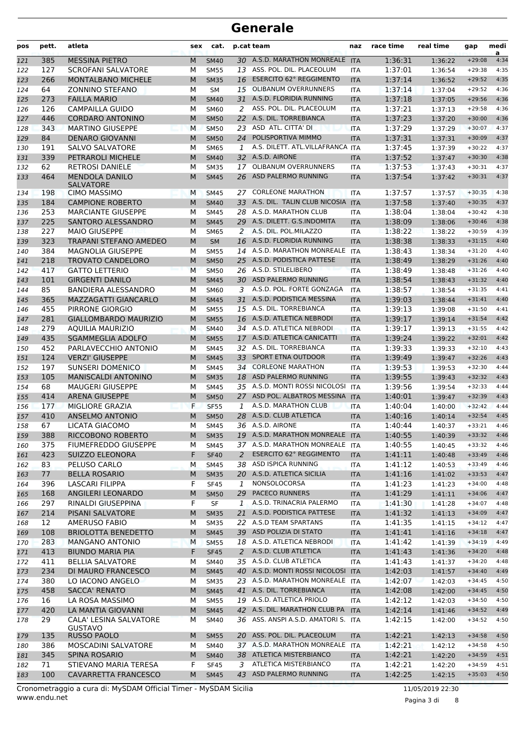| pos | pett. | atleta                                    | sex | cat.        |              | p.cat team                          | naz        | race time | real time | gap      | medi<br>a |
|-----|-------|-------------------------------------------|-----|-------------|--------------|-------------------------------------|------------|-----------|-----------|----------|-----------|
| 121 | 385   | <b>MESSINA PIETRO</b>                     | M   | <b>SM40</b> |              | 30 A.S.D. MARATHON MONREALE ITA     |            | 1:36:31   | 1:36:22   | $+29:08$ | 4:34      |
| 122 | 127   | <b>SCROFANI SALVATORE</b>                 | М   | <b>SM55</b> |              | 13 ASS. POL. DIL. PLACEOLUM         | <b>ITA</b> | 1:37:01   | 1:36:54   | $+29:38$ | 4:35      |
| 123 | 266   | <b>MONTALBANO MICHELE</b>                 | M   | <b>SM35</b> | 16           | <b>ESERCITO 62° REGGIMENTO</b>      | <b>ITA</b> | 1:37:14   | 1:36:52   | $+29:52$ | 4:35      |
| 124 | 64    | <b>ZONNINO STEFANO</b>                    | м   | <b>SM</b>   | 15           | <b>OLIBANUM OVERRUNNERS</b>         | <b>ITA</b> | 1:37:14   | 1:37:04   | $+29:52$ | 4:36      |
| 125 | 273   | <b>FAILLA MARIO</b>                       | M   | <b>SM40</b> | 31           | A.S.D. FLORIDIA RUNNING             | <b>ITA</b> | 1:37:18   | 1:37:05   | $+29:56$ | 4:36      |
| 126 | 126   | <b>CAMPAILLA GUIDO</b>                    | м   | SM60        | 2            | ASS. POL. DIL. PLACEOLUM            | <b>ITA</b> | 1:37:21   | 1:37:13   | $+29:58$ | 4:36      |
| 127 | 446   | <b>CORDARO ANTONINO</b>                   | M   | <b>SM50</b> | 22           | A.S. DIL. TORREBIANCA               | <b>ITA</b> | 1:37:23   | 1:37:20   | $+30:00$ | 4:36      |
| 128 | 343   | <b>MARTINO GIUSEPPE</b>                   | M   | <b>SM50</b> |              | 23 ASD ATL. CITTA' DI               | <b>ITA</b> | 1:37:29   | 1:37:29   | $+30:07$ | 4:37      |
| 129 | 84    | <b>DENARO GIOVANNI</b>                    | M   | <b>SM50</b> | 24           | POLISPORTIVA MIMMO                  | <b>ITA</b> | 1:37:31   | 1:37:31   | $+30:09$ | 4:37      |
| 130 | 191   | <b>SALVO SALVATORE</b>                    | М   | <b>SM65</b> | 1            | A.S. DILETT. ATL.VILLAFRANCA        | <b>ITA</b> | 1:37:45   | 1:37:39   | $+30:22$ | 4:37      |
| 131 | 339   | PETRAROLI MICHELE                         | M   | <b>SM40</b> |              | 32 A.S.D. AIRONE                    | <b>ITA</b> | 1:37:52   | 1:37:47   | $+30:30$ | 4:38      |
| 132 | 62    | <b>RETROSI DANIELE</b>                    | M   | <b>SM35</b> | 17           | <b>OLIBANUM OVERRUNNERS</b>         | <b>ITA</b> | 1:37:53   | 1:37:43   | $+30:31$ | 4:37      |
| 133 | 464   | <b>MENDOLA DANILO</b><br><b>SALVATORE</b> | M   | <b>SM45</b> | 26           | ASD PALERMO RUNNING                 | <b>ITA</b> | 1:37:54   | 1:37:42   | $+30:31$ | 4:37      |
| 134 | 198   | <b>CIMO MASSIMO</b>                       | M   | <b>SM45</b> |              | 27 CORLEONE MARATHON                | <b>ITA</b> | 1:37:57   | 1:37:57   | $+30:35$ | 4:38      |
| 135 | 184   | <b>CAMPIONE ROBERTO</b>                   | M   | <b>SM40</b> |              | 33 A.S. DIL. TALIN CLUB NICOSIA ITA |            | 1:37:58   | 1:37:40   | $+30:35$ | 4:37      |
| 136 | 253   | <b>MARCIANTE GIUSEPPE</b>                 | М   | <b>SM45</b> |              | 28 A.S.D. MARATHON CLUB             | <b>ITA</b> | 1:38:04   | 1:38:04   | $+30:42$ | 4:38      |
| 137 | 225   | SANTORO ALESSANDRO                        | M   | <b>SM45</b> |              | 29 A.S. DILETT. G.S.INDOMITA        | <b>ITA</b> | 1:38:09   | 1:38:06   | $+30:46$ | 4:38      |
| 138 | 227   | <b>MAIO GIUSEPPE</b>                      | М   | <b>SM65</b> | 2            | A.S. DIL. POL.MILAZZO               | <b>ITA</b> | 1:38:22   | 1:38:22   | $+30:59$ | 4:39      |
| 139 | 323   | TRAPANI STEFANO AMEDEO                    | M   | <b>SM</b>   |              | 16 A.S.D. FLORIDIA RUNNING          | <b>ITA</b> | 1:38:38   | 1:38:33   | $+31:15$ | 4:40      |
| 140 | 384   | <b>MAGNOLIA GIUSEPPE</b>                  | м   | <b>SM55</b> |              | 14 A.S.D. MARATHON MONREALE         | <b>ITA</b> | 1:38:43   | 1:38:34   | $+31:20$ | 4:40      |
| 141 | 218   | <b>TROVATO CANDELORO</b>                  | M   | <b>SM50</b> |              | 25 A.S.D. PODISTICA PATTESE         | <b>ITA</b> | 1:38:49   | 1:38:29   | $+31:26$ | 4:40      |
| 142 | 417   | <b>GATTO LETTERIO</b>                     | M   | <b>SM50</b> |              | 26 A.S.D. STILELIBERO               | <b>ITA</b> | 1:38:49   | 1:38:48   | $+31:26$ | 4:40      |
| 143 | 101   | <b>GIRGENTI DANILO</b>                    | M   | <b>SM45</b> |              | 30 ASD PALERMO RUNNING              | <b>ITA</b> | 1:38:54   | 1:38:43   | $+31:32$ | 4:40      |
| 144 | 85    | <b>BANDIERA ALESSANDRO</b>                | М   | <b>SM60</b> | 3            | A.S.D. POL. FORTE GONZAGA           | <b>ITA</b> | 1:38:57   | 1:38:54   | $+31:35$ | 4:41      |
| 145 | 365   | <b>MAZZAGATTI GIANCARLO</b>               | M   | <b>SM45</b> |              | 31 A.S.D. PODISTICA MESSINA         | <b>ITA</b> | 1:39:03   | 1:38:44   | $+31:41$ | 4:40      |
| 146 | 455   | PIRRONE GIORGIO                           | м   | <b>SM55</b> |              | 15 A.S. DIL. TORREBIANCA            | ITA        | 1:39:13   | 1:39:08   | $+31:50$ | 4:41      |
| 147 | 281   | <b>GIALLOMBARDO MAURIZIO</b>              | M   | <b>SM55</b> |              | 16 A.S.D. ATLETICA NEBRODI          | <b>ITA</b> | 1:39:17   | 1:39:14   | $+31:54$ | 4:42      |
| 148 | 279   | <b>AQUILIA MAURIZIO</b>                   | M   | <b>SM40</b> |              | 34 A.S.D. ATLETICA NEBRODI          | <b>ITA</b> | 1:39:17   | 1:39:13   | $+31:55$ | 4:42      |
| 149 | 435   | <b>SGAMMEGLIA ADOLFO</b>                  | M   | <b>SM55</b> | 17           | A.S.D. ATLETICA CANICATTI           | <b>ITA</b> | 1:39:24   | 1:39:22   | $+32:01$ | 4:42      |
| 150 | 452   | PARLAVECCHIO ANTONIO                      | М   | <b>SM45</b> |              | 32 A.S. DIL. TORREBIANCA            | <b>ITA</b> | 1:39:33   | 1:39:33   | $+32:10$ | 4:43      |
| 151 | 124   | <b>VERZI' GIUSEPPE</b>                    | M   | <b>SM45</b> | 33           | <b>SPORT ETNA OUTDOOR</b>           | <b>ITA</b> | 1:39:49   | 1:39:47   | $+32:26$ | 4:43      |
| 152 | 197   | <b>SUNSERI DOMENICO</b>                   | М   | <b>SM45</b> |              | 34 CORLEONE MARATHON                | <b>ITA</b> | 1:39:53   | 1:39:53   | $+32:30$ | 4:44      |
| 153 | 105   | <b>MANISCALDI ANTONINO</b>                | M   | <b>SM35</b> |              | 18 ASD PALERMO RUNNING              | <b>ITA</b> | 1:39:55   | 1:39:43   | $+32:32$ | 4:43      |
| 154 | 68    | <b>MAUGERI GIUSEPPE</b>                   | М   | <b>SM45</b> |              | 35 A.S.D. MONTI ROSSI NICOLOSI      | <b>ITA</b> | 1:39:56   | 1:39:54   | $+32:33$ | 4:44      |
| 155 | 414   | <b>ARENA GIUSEPPE</b>                     | M   | <b>SM50</b> | 27           | ASD POL. ALBATROS MESSINA           | <b>ITA</b> | 1:40:01   | 1:39:47   | $+32:39$ | 4:43      |
| 156 | 177   | MIGLIORE GRAZIA                           | F   | <b>SF55</b> | 1            | A.S.D. MARATHON CLUB                | <b>ITA</b> | 1:40:04   | 1:40:00   | $+32:42$ | 4:44      |
| 157 | 410   | <b>ANSELMO ANTONIO</b>                    | M   | <b>SM50</b> |              | 28 A.S.D. CLUB ATLETICA             | <b>ITA</b> | 1:40:16   | 1:40:14   | $+32:54$ | 4:45      |
| 158 | 67    | LICATA GIACOMO                            | м   | <b>SM45</b> |              | 36 A.S.D. AIRONE                    | <b>ITA</b> | 1:40:44   | 1:40:37   | $+33:21$ | 4:46      |
| 159 | 388   | RICCOBONO ROBERTO                         | M   | <b>SM35</b> |              | 19 A.S.D. MARATHON MONREALE ITA     |            | 1:40:55   | 1:40:39   | $+33:32$ | 4:46      |
| 160 | 375   | <b>FIUMEFREDDO GIUSEPPE</b>               | М   | SM45        |              | 37 A.S.D. MARATHON MONREALE ITA     |            | 1:40:55   | 1:40:45   | $+33:32$ | 4:46      |
| 161 | 423   | <b>SUIZZO ELEONORA</b>                    | F   | <b>SF40</b> | 2            | <b>ESERCITO 62° REGGIMENTO</b>      | <b>ITA</b> | 1:41:11   | 1:40:48   | $+33:49$ | 4:46      |
| 162 | 83    | PELUSO CARLO                              | M   | <b>SM45</b> |              | 38 ASD ISPICA RUNNING               | ITA        | 1:41:12   | 1:40:53   | $+33:49$ | 4:46      |
| 163 | 77    | <b>BELLA ROSARIO</b>                      | M   | <b>SM35</b> |              | 20 A.S.D. ATLETICA SICILIA          | <b>ITA</b> | 1:41:16   | 1:41:02   | $+33:53$ | 4:47      |
| 164 | 396   | LASCARI FILIPPA                           | F   | <b>SF45</b> | 1            | NONSOLOCORSA                        | <b>ITA</b> | 1:41:23   | 1:41:23   | $+34:00$ | 4:48      |
| 165 | 168   | ANGILERI LEONARDO                         | M   | <b>SM50</b> | 29           | <b>PACECO RUNNERS</b>               | <b>ITA</b> | 1:41:29   | 1:41:11   | $+34:06$ | 4:47      |
| 166 | 297   | RINALDI GIUSEPPINA                        | F   | SF          | $\mathbf{1}$ | A.S.D. TRINACRIA PALERMO            | ITA        | 1:41:30   | 1:41:28   | $+34:07$ | 4:48      |
| 167 | 214   | <b>PISANI SALVATORE</b>                   | M   | <b>SM35</b> | 21           | A.S.D. PODISTICA PATTESE            | <b>ITA</b> | 1:41:32   | 1:41:13   | $+34:09$ | 4:47      |
| 168 | 12    | <b>AMERUSO FABIO</b>                      | М   | <b>SM35</b> |              | 22 A.S.D TEAM SPARTANS              | ITA        | 1:41:35   | 1:41:15   | $+34:12$ | 4:47      |
| 169 | 108   | <b>BRIOLOTTA BENEDETTO</b>                | M   | <b>SM45</b> |              | 39 ASD POLIZIA DI STATO             | <b>ITA</b> | 1:41:41   | 1:41:16   | $+34:18$ | 4:47      |
| 170 | 283   | <b>MANGANO ANTONIO</b>                    | M   | <b>SM55</b> |              | 18 A.S.D. ATLETICA NEBRODI          | <b>ITA</b> | 1:41:42   | 1:41:39   | $+34:19$ | 4:49      |
| 171 | 413   | <b>BIUNDO MARIA PIA</b>                   | F   | <b>SF45</b> |              | 2 A.S.D. CLUB ATLETICA              | <b>ITA</b> | 1:41:43   | 1:41:36   | $+34:20$ | 4:48      |
| 172 | 411   | <b>BELLIA SALVATORE</b>                   | М   | SM40        |              | 35 A.S.D. CLUB ATLETICA             | ITA        | 1:41:43   | 1:41:37   | $+34:20$ | 4:48      |
| 173 | 234   | DI MAURO FRANCESCO                        | M   | <b>SM45</b> |              | 40 A.S.D. MONTI ROSSI NICOLOSI ITA  |            | 1:42:03   | 1:41:57   | $+34:40$ | 4:49      |
| 174 | 380   | LO IACONO ANGELO                          | М   | <b>SM35</b> |              | 23 A.S.D. MARATHON MONREALE         | <b>ITA</b> | 1:42:07   | 1:42:03   | $+34:45$ | 4:50      |
| 175 | 458   | SACCA' RENATO                             | М   | <b>SM45</b> |              | 41 A.S. DIL. TORREBIANCA            | <b>ITA</b> | 1:42:08   | 1:42:00   | $+34:45$ | 4:50      |
| 176 | 16    | LA ROSA MASSIMO                           | М   | <b>SM55</b> |              | 19 A.S.D. ATLETICA PRIOLO           | ITA        | 1:42:12   | 1:42:03   | $+34:50$ | 4:50      |
| 177 | 420   | LA MANTIA GIOVANNI                        | M   | <b>SM45</b> |              | 42 A.S. DIL. MARATHON CLUB PA       | <b>ITA</b> | 1:42:14   | 1:41:46   | $+34:52$ | 4:49      |
| 178 | 29    | CALA' LESINA SALVATORE<br><b>GUSTAVO</b>  | М   | <b>SM40</b> |              | 36 ASS. ANSPI A.S.D. AMATORI S. ITA |            | 1:42:15   | 1:42:00   | $+34:52$ | 4:50      |
| 179 | 135   | <b>RUSSO PAOLO</b>                        | M   | <b>SM55</b> |              | 20 ASS. POL. DIL. PLACEOLUM         | <b>ITA</b> | 1:42:21   | 1:42:13   | $+34:58$ | 4:50      |
| 180 | 386   | MOSCADINI SALVATORE                       | М   | <b>SM40</b> |              | 37 A.S.D. MARATHON MONREALE ITA     |            | 1:42:21   | 1:42:12   | $+34:58$ | 4:50      |
| 181 | 345   | SPINA ROSARIO                             | M   | <b>SM40</b> |              | 38 ATLETICA MISTERBIANCO            | <b>ITA</b> | 1:42:21   | 1:42:20   | $+34:59$ | 4:51      |
| 182 | 71    | STIEVANO MARIA TERESA                     | F   | <b>SF45</b> | 3            | ATLETICA MISTERBIANCO               | ITA        | 1:42:21   | 1:42:20   | $+34:59$ | 4:51      |
| 183 | 100   | CAVARRETTA FRANCESCO                      | M   | <b>SM45</b> |              | 43 ASD PALERMO RUNNING              | <b>ITA</b> | 1:42:25   | 1:42:15   | $+35:03$ | 4:50      |

www.endu.net Cronometraggio a cura di: MySDAM Official Timer - MySDAM Sicilia 11/05/2019 22:30

Pagina 3 di 8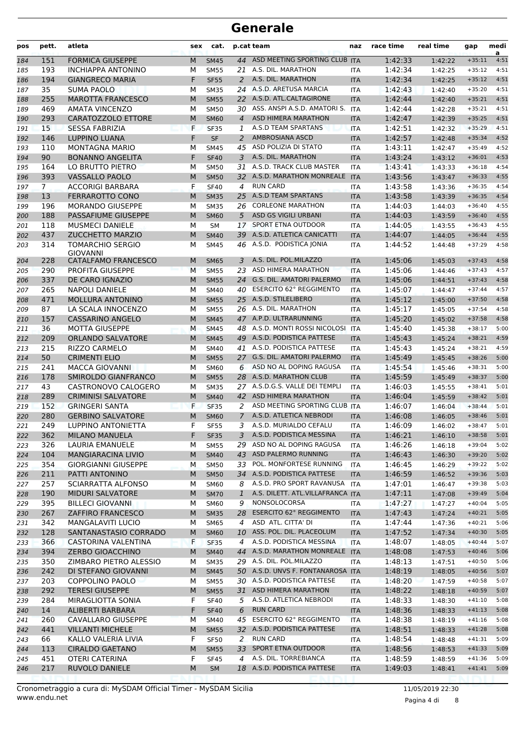| pos        | pett.                | atleta                                     | sex    | cat.                       |                     | p.cat team                                                 | naz                      | race time          | real time          | gap                  | medi<br>a    |
|------------|----------------------|--------------------------------------------|--------|----------------------------|---------------------|------------------------------------------------------------|--------------------------|--------------------|--------------------|----------------------|--------------|
| 184        | 151                  | <b>FORMICA GIUSEPPE</b>                    | M      | <b>SM45</b>                | 44                  | ASD MEETING SPORTING CLUB ITA                              |                          | 1:42:33            | 1:42:22            | $+35:11$             | 4:51         |
| 185        | 193                  | <b>INCHIAPPA ANTONINO</b>                  | м      | <b>SM55</b>                |                     | 21 A.S. DIL. MARATHON                                      | <b>ITA</b>               | 1:42:34            | 1:42:25            | $+35:12$             | 4:51         |
| 186        | 194                  | <b>GIANGRECO MARIA</b>                     | F      | <b>SF55</b>                | 2                   | A.S. DIL. MARATHON                                         | <b>ITA</b>               | 1:42:34            | 1:42:25            | $+35:12$             | 4:51         |
| 187        | 35                   | <b>SUMA PAOLO</b>                          | М      | <b>SM35</b>                |                     | 24 A.S.D. ARETUSA MARCIA                                   | <b>ITA</b>               | 1:42:43            | 1:42:40            | $+35:20$             | 4:51         |
| 188        | 255                  | <b>MAROTTA FRANCESCO</b>                   | M      | <b>SM55</b>                |                     | 22 A.S.D. ATL.CALTAGIRONE                                  | <b>ITA</b>               | 1:42:44            | 1:42:40            | $+35:21$             | 4:51         |
| 189        | 469                  | <b>AMATA VINCENZO</b>                      | М      | <b>SM50</b>                |                     | 30 ASS. ANSPI A.S.D. AMATORI S.                            | <b>ITA</b>               | 1:42:44            | 1:42:28            | $+35:21$             | 4:51         |
| 190        | 293                  | <b>CARATOZZOLO ETTORE</b>                  | M      | <b>SM60</b>                | $\overline{4}$      | ASD HIMERA MARATHON                                        | <b>ITA</b>               | 1:42:47            | 1:42:39            | $+35:25$             | 4:51         |
| 191        | 15                   | <b>SESSA FABRIZIA</b>                      | F      | <b>SF35</b>                | 1                   | A.S.D TEAM SPARTANS                                        | <b>ITA</b>               | 1:42:51            | 1:42:32            | $+35:29$             | 4:51         |
| 192        | 146                  | <b>LUPPINO LUANA</b>                       | F      | <b>SF</b>                  | 2                   | <b>AMBROSIANA ASCD</b>                                     | <b>ITA</b>               | 1:42:57            | 1:42:48            | $+35:34$             | 4:52         |
| 193        | 110                  | <b>MONTAGNA MARIO</b>                      | М      | <b>SM45</b>                | 45                  | ASD POLIZIA DI STATO                                       | <b>ITA</b>               | 1:43:11            | 1:42:47            | $+35:49$             | 4:52         |
| 194        | 90                   | <b>BONANNO ANGELITA</b>                    | F      | <b>SF40</b>                | 3                   | A.S. DIL. MARATHON                                         | <b>ITA</b>               | 1:43:24            | 1:43:12            | $+36:01$             | 4:53         |
| 195        | 164                  | LO BRUTTO PIETRO                           | М      | <b>SM50</b>                |                     | 31 A.S.D. TRACK CLUB MASTER<br>32 A.S.D. MARATHON MONREALE | <b>ITA</b>               | 1:43:41            | 1:43:33            | $+36:18$             | 4:54<br>4:55 |
| 196        | 393                  | <b>VASSALLO PAOLO</b>                      | M      | <b>SM50</b>                |                     | <b>RUN CARD</b>                                            | <b>ITA</b>               | 1:43:56            | 1:43:47            | $+36:33$             | 4:54         |
| 197        | 7 <sup>1</sup><br>13 | <b>ACCORIGI BARBARA</b><br>FERRAROTTO CONO | F<br>M | <b>SF40</b>                | 4<br>25             | A.S.D TEAM SPARTANS                                        | ITA                      | 1:43:58<br>1:43:58 | 1:43:36            | $+36:35$<br>$+36:35$ | 4:54         |
| 198        | 196                  | <b>MORANDO GIUSEPPE</b>                    | М      | <b>SM35</b><br><b>SM35</b> | 26                  | <b>CORLEONE MARATHON</b>                                   | <b>ITA</b><br><b>ITA</b> | 1:44:03            | 1:43:39            | $+36:40$             | 4:55         |
| 199<br>200 | 188                  | PASSAFIUME GIUSEPPE                        | M      | <b>SM60</b>                | 5                   | <b>ASD GS VIGILI URBANI</b>                                | <b>ITA</b>               | 1:44:03            | 1:44:03<br>1:43:59 | $+36:40$             | 4:55         |
| 201        | 118                  | <b>MUSMECI DANIELE</b>                     | М      | <b>SM</b>                  | 17                  | SPORT ETNA OUTDOOR                                         | <b>ITA</b>               | 1:44:05            | 1:43:55            | $+36:43$             | 4:55         |
| 202        | 437                  | <b>ZUCCHETTO MARZIO</b>                    | M      | <b>SM40</b>                | 39                  | A.S.D. ATLETICA CANICATTI                                  | <b>ITA</b>               | 1:44:07            | 1:44:05            | $+36:44$             | 4:55         |
| 203        | 314                  | <b>TOMARCHIO SERGIO</b>                    | м      | <b>SM45</b>                |                     | 46 A.S.D. PODISTICA JONIA                                  | <b>ITA</b>               | 1:44:52            | 1:44:48            | $+37:29$             | 4:58         |
|            |                      | <b>GIOVANNI</b>                            |        |                            |                     |                                                            |                          |                    |                    |                      |              |
| 204        | 228                  | CATALFAMO FRANCESCO                        | M      | <b>SM65</b>                | 3                   | A.S. DIL. POL.MILAZZO                                      | <b>ITA</b>               | 1:45:06            | 1:45:03            | $+37:43$             | 4:58         |
| 205        | 290                  | PROFITA GIUSEPPE                           | M      | <b>SM55</b>                | 23                  | ASD HIMERA MARATHON                                        | <b>ITA</b>               | 1:45:06            | 1:44:46            | $+37:43$             | 4:57         |
| 206        | 337                  | DE CARO IGNAZIO                            | M      | <b>SM55</b>                | 24                  | G.S. DIL. AMATORI PALERMO                                  | <b>ITA</b>               | 1:45:06            | 1:44:51            | $+37:43$             | 4:58         |
| 207        | 265                  | <b>NAPOLI DANIELE</b>                      | М      | <b>SM40</b>                |                     | 40 ESERCITO 62° REGGIMENTO                                 | <b>ITA</b>               | 1:45:07            | 1:44:47            | $+37:44$             | 4:57         |
| 208        | 471                  | <b>MOLLURA ANTONINO</b>                    | M      | <b>SM55</b>                |                     | 25 A.S.D. STILELIBERO                                      | <b>ITA</b>               | 1:45:12            | 1:45:00            | $+37:50$             | 4:58         |
| 209        | 87                   | LA SCALA INNOCENZO                         | М      | <b>SM55</b>                |                     | 26 A.S. DIL. MARATHON                                      | <b>ITA</b>               | 1:45:17            | 1:45:05            | $+37:54$             | 4:58         |
| 210        | 157                  | <b>CASSARINO ANGELO</b>                    | M      | <b>SM45</b>                |                     | 47 A.P.D. ULTRARUNNING                                     | <b>ITA</b>               | 1:45:20            | 1:45:02            | $+37:58$             | 4:58         |
| 211        | 36                   | <b>MOTTA GIUSEPPE</b>                      | М      | <b>SM45</b>                |                     | 48 A.S.D. MONTI ROSSI NICOLOSI                             | <b>ITA</b>               | 1:45:40            | 1:45:38            | $+38:17$             | 5:00         |
| 212        | 209                  | <b>ORLANDO SALVATORE</b>                   | M      | <b>SM45</b>                | 49                  | A.S.D. PODISTICA PATTESE                                   | <b>ITA</b>               | 1:45:43            | 1:45:24            | $+38:21$             | 4:59         |
| 213        | 215                  | <b>RIZZO CARMELO</b>                       | М      | <b>SM40</b>                |                     | 41 A.S.D. PODISTICA PATTESE                                | <b>ITA</b>               | 1:45:43            | 1:45:24            | $+38:21$             | 4:59         |
| 214        | 50                   | <b>CRIMENTI ELIO</b>                       | M      | <b>SM55</b>                |                     | 27 G.S. DIL. AMATORI PALERMO                               | <b>ITA</b>               | 1:45:49            | 1:45:45            | $+38:26$             | 5:00         |
| 215        | 241                  | <b>MACCA GIOVANNI</b>                      | М      | <b>SM60</b>                | 6                   | ASD NO AL DOPING RAGUSA                                    | <b>ITA</b>               | 1:45:54            | 1:45:46            | $+38:31$             | 5:00         |
| 216        | 178                  | SMIROLDO GIANFRANCO                        | M      | <b>SM55</b>                |                     | 28 A.S.D. MARATHON CLUB                                    | <b>ITA</b>               | 1:45:59            | 1:45:49            | $+38:37$             | 5:00         |
| 217        | 43                   | CASTRONOVO CALOGERO                        | м      | <b>SM35</b>                |                     | 27 A.S.D.G.S. VALLE DEI TEMPLI                             | <b>ITA</b>               | 1:46:03            | 1:45:55            | $+38:41$             | 5:01         |
| 218        | 289                  | <b>CRIMINISI SALVATORE</b>                 | M      | <b>SM40</b>                | 42                  | ASD HIMERA MARATHON                                        | <b>ITA</b>               | 1:46:04            | 1:45:59            | $+38:42$             | 5:01         |
| 219        | 152                  | <b>GRINGERI SANTA</b>                      | F      | <b>SF35</b>                | 2                   | ASD MEETING SPORTING CLUB ITA<br>A.S.D. ATLETICA NEBRODI   |                          | 1:46:07            | 1:46:04            | $+38:44$             | 5:01<br>5:01 |
| 220        | 280<br>249           | <b>GERBINO SALVATORE</b>                   | M<br>F | <b>SM60</b>                | $\overline{7}$<br>3 | A.S.D. MURIALDO CEFALU                                     | <b>ITA</b>               | 1:46:08            | 1:46:05            | $+38:46$<br>$+38:47$ | 5:01         |
| 221<br>222 | 362                  | LUPPINO ANTONIETTA<br>MILANO MANUELA       | F.     | <b>SF55</b><br><b>SF35</b> |                     | 3 A.S.D. PODISTICA MESSINA                                 | <b>ITA</b><br><b>ITA</b> | 1:46:09<br>1:46:21 | 1:46:02<br>1:46:10 | $+38:58$ 5:01        |              |
|            | 326                  | LAURIA EMANUELE                            |        | <b>SM55</b>                |                     | 29 ASD NO AL DOPING RAGUSA                                 |                          | 1:46:26            |                    | $+39:04$             | 5:02         |
| 223<br>224 | 104                  | <b>MANGIARACINA LIVIO</b>                  | М<br>M | <b>SM40</b>                |                     | 43 ASD PALERMO RUNNING                                     | <b>ITA</b><br><b>ITA</b> | 1:46:43            | 1:46:18<br>1:46:30 | $+39:20$             | 5:02         |
| 225        | 354                  | <b>GIORGIANNI GIUSEPPE</b>                 | М      | <b>SM50</b>                |                     | 33 POL. MONFORTESE RUNNING                                 | <b>ITA</b>               | 1:46:45            | 1:46:29            | $+39:22$             | 5:02         |
| 226        | 211                  | PATTI ANTONINO                             | M      | <b>SM50</b>                |                     | 34 A.S.D. PODISTICA PATTESE                                | <b>ITA</b>               | 1:46:59            | 1:46:52            | $+39:36$             | 5:03         |
| 227        | 257                  | SCIARRATTA ALFONSO                         | М      | <b>SM60</b>                | 8                   | A.S.D. PRO SPORT RAVANUSA                                  | <b>ITA</b>               | 1:47:01            | 1:46:47            | $+39:38$             | 5:03         |
| 228        | 190                  | <b>MIDURI SALVATORE</b>                    | M      | <b>SM70</b>                | $\mathbf{1}$        | A.S. DILETT. ATL.VILLAFRANCA ITA                           |                          | 1:47:11            | 1:47:08            | $+39:49$             | 5:04         |
| 229        | 395                  | <b>BILLECI GIOVANNI</b>                    | М      | SM60                       | 9                   | NONSOLOCORSA                                               | ITA                      | 1:47:27            | 1:47:27            | $+40:04$             | 5:05         |
| 230        | 267                  | <b>ZAFFIRO FRANCESCO</b>                   | M      | <b>SM35</b>                | 28                  | <b>ESERCITO 62° REGGIMENTO</b>                             | <b>ITA</b>               | 1:47:43            | 1:47:24            | $+40:21$             | 5:05         |
| 231        | 342                  | <b>MANGALAVITI LUCIO</b>                   | м      | <b>SM65</b>                | 4                   | ASD ATL. CITTA' DI                                         | <b>ITA</b>               | 1:47:44            | 1:47:36            | $+40:21$             | 5:06         |
| 232        | 128                  | SANTANASTASIO CORRADO                      | M      | <b>SM60</b>                |                     | 10 ASS. POL. DIL. PLACEOLUM                                | <b>ITA</b>               | 1:47:52            | 1:47:34            | $+40:30$             | 5:05         |
| 233        | 366                  | CASTORINA VALENTINA                        | F      | <b>SF35</b>                | 4                   | A.S.D. PODISTICA MESSINA                                   | <b>ITA</b>               | 1:48:07            | 1:48:05            | $+40:44$             | 5:07         |
| 234        | 394                  | <b>ZERBO GIOACCHINO</b>                    | M      | <b>SM40</b>                |                     | 44 A.S.D. MARATHON MONREALE ITA                            |                          | 1:48:08            | 1:47:53            | $+40:46$             | 5:06         |
| 235        | 350                  | ZIMBARO PIETRO ALESSIO                     | М      | <b>SM35</b>                |                     | 29 A.S. DIL. POL.MILAZZO                                   | ITA                      | 1:48:13            | 1:47:51            | $+40:50$             | 5:06         |
| 236        | 242                  | DI STEFANO GIOVANNI                        | M      | <b>SM45</b>                |                     | 50 A.S.D. UNVS F. FONTANAROSA ITA                          |                          | 1:48:19            | 1:48:05            | $+40:56$             | 5:07         |
| 237        | 203                  | <b>COPPOLINO PAOLO</b>                     | м      | <b>SM55</b>                |                     | 30 A.S.D. PODISTICA PATTESE                                | ITA                      | 1:48:20            | 1:47:59            | $+40:58$             | 5:07         |
| 238        | 292                  | <b>TERESI GIUSEPPE</b>                     | M      | <b>SM55</b>                |                     | 31 ASD HIMERA MARATHON                                     | <b>ITA</b>               | 1:48:22            | 1:48:18            | $+40:59$             | 5:07         |
| 239        | 284                  | MIRAGLIOTTA SONIA                          | F      | <b>SF40</b>                | 5                   | A.S.D. ATLETICA NEBRODI                                    | <b>ITA</b>               | 1:48:33            | 1:48:30            | $+41:10$             | 5:08         |
| 240        | 14                   | ALIBERTI BARBARA                           | F      | <b>SF40</b>                | 6                   | <b>RUN CARD</b>                                            | <b>ITA</b>               | 1:48:36            | 1:48:33            | $+41:13$             | 5:08         |
| 241        | 260                  | CAVALLARO GIUSEPPE                         | М      | <b>SM40</b>                |                     | 45 ESERCITO 62° REGGIMENTO                                 | ITA                      | 1:48:38            | 1:48:19            | $+41:16$             | 5:08         |
| 242        | 441                  | <b>VILLANTI MICHELE</b>                    | M      | <b>SM55</b>                |                     | 32 A.S.D. PODISTICA PATTESE                                | <b>ITA</b>               | 1:48:51            | 1:48:33            | $+41:28$             | 5:08         |
| 243        | 66                   | KALLO VALERIA LIVIA                        | F      | <b>SF50</b>                | 2                   | <b>RUN CARD</b>                                            | <b>ITA</b>               | 1:48:54            | 1:48:48            | $+41:31$             | 5:09         |
| 244        | 113                  | <b>CIRALDO GAETANO</b>                     | M      | <b>SM55</b>                |                     | 33 SPORT ETNA OUTDOOR                                      | <b>ITA</b>               | 1:48:56            | 1:48:53            | $+41:33$             | 5:09         |
| 245        | 451                  | <b>OTERI CATERINA</b>                      | F      | <b>SF45</b>                | 4                   | A.S. DIL. TORREBIANCA                                      | <b>ITA</b>               | 1:48:59            | 1:48:59            | $+41:36$             | 5:09         |
| 246        | 217                  | RUVOLO DANIELE                             | M      | <b>SM</b>                  |                     | 18 A.S.D. PODISTICA PATTESE                                | <b>ITA</b>               | 1:49:03            | 1:48:41            | $+41:41$             | 5:09         |
|            |                      |                                            |        |                            |                     |                                                            |                          |                    |                    |                      |              |

Pagina 4 di 8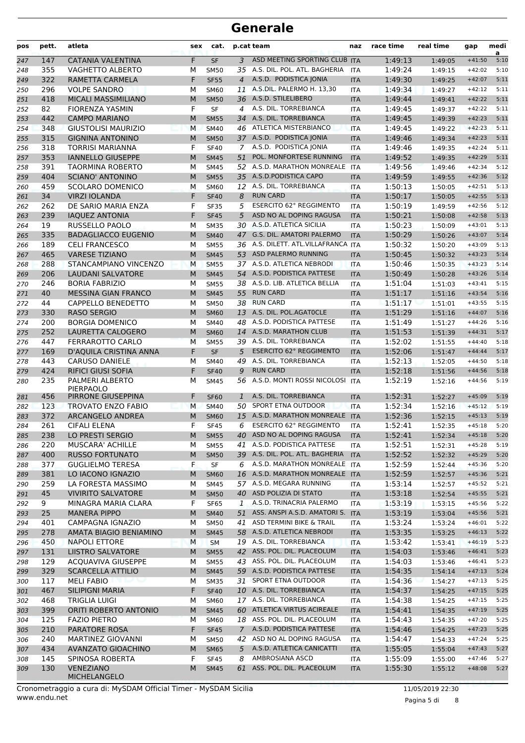| pos | pett. | atleta                                 | sex | cat.        |                | p.cat team                          | naz        | race time | real time | gap      | medi<br>a |
|-----|-------|----------------------------------------|-----|-------------|----------------|-------------------------------------|------------|-----------|-----------|----------|-----------|
| 247 | 147   | <b>CATANIA VALENTINA</b>               | F   | <b>SF</b>   | 3              | ASD MEETING SPORTING CLUB           | <b>ITA</b> | 1:49:13   | 1:49:05   | $+41:50$ | 5:10      |
| 248 | 355   | <b>VAGHETTO ALBERTO</b>                | М   | <b>SM50</b> |                | 35 A.S. DIL. POL. ATL. BAGHERIA     | <b>ITA</b> | 1:49:24   | 1:49:15   | $+42:02$ | 5:10      |
| 249 | 322   | RAMETTA CARMELA                        | F   | <b>SF55</b> | $\overline{4}$ | A.S.D. PODISTICA JONIA              | <b>ITA</b> | 1:49:30   | 1:49:25   | $+42:07$ | 5:11      |
| 250 | 296   | <b>VOLPE SANDRO</b>                    | М   | SM60        |                | 11 A.S.DIL. PALERMO H. 13,30        | <b>ITA</b> | 1:49:34   | 1:49:27   | $+42:12$ | 5:11      |
| 251 | 418   | MICALI MASSIMILIANO                    | M   | <b>SM50</b> |                | 36 A.S.D. STILELIBERO               | <b>ITA</b> | 1:49:44   | 1:49:41   | $+42:22$ | 5:11      |
| 252 | 82    | <b>FIORENZA YASMIN</b>                 | F   | <b>SF</b>   | 4              | A.S. DIL. TORREBIANCA               | <b>ITA</b> | 1:49:45   | 1:49:37   | $+42:22$ | 5:11      |
| 253 | 442   | <b>CAMPO MARIANO</b>                   | M   | <b>SM55</b> | 34             | A.S. DIL. TORREBIANCA               | <b>ITA</b> | 1:49:45   | 1:49:39   | $+42:23$ | 5:11      |
| 254 | 348   | <b>GIUSTOLISI MAURIZIO</b>             | M   | <b>SM40</b> |                | 46 ATLETICA MISTERBIANCO            | <b>ITA</b> | 1:49:45   | 1:49:22   | $+42:23$ | 5:11      |
| 255 | 315   | <b>GIGNINA ANTONINO</b>                | M   | <b>SM50</b> |                | 37 A.S.D. PODISTICA JONIA           | <b>ITA</b> | 1:49:46   | 1:49:34   | $+42:23$ | 5:11      |
| 256 | 318   | <b>TORRISI MARIANNA</b>                | F   | <b>SF40</b> | $7^{\circ}$    | A.S.D. PODISTICA JONIA              | <b>ITA</b> | 1:49:46   | 1:49:35   | $+42:24$ | 5:11      |
| 257 | 353   | <b>IANNELLO GIUSEPPE</b>               | M   | <b>SM45</b> | 51             | POL. MONFORTESE RUNNING             | <b>ITA</b> | 1:49:52   | 1:49:35   | $+42:29$ | 5:11      |
| 258 | 391   | <b>TAORMINA ROBERTO</b>                | M   | <b>SM45</b> |                | 52 A.S.D. MARATHON MONREALE         | <b>ITA</b> | 1:49:56   | 1:49:46   | $+42:34$ | 5:12      |
| 259 | 404   | <b>SCIANO' ANTONINO</b>                | M   | <b>SM55</b> |                | 35 A.S.D.PODISTICA CAPO             | <b>ITA</b> | 1:49:59   | 1:49:55   | $+42:36$ | 5:12      |
| 260 | 459   | <b>SCOLARO DOMENICO</b>                | M   | <b>SM60</b> | 12             | A.S. DIL. TORREBIANCA               | <b>ITA</b> | 1:50:13   | 1:50:05   | $+42:51$ | 5:13      |
| 261 | 34    | <b>VIRZI IOLANDA</b>                   | F   | <b>SF40</b> | 8              | <b>RUN CARD</b>                     | <b>ITA</b> | 1:50:17   | 1:50:05   | $+42:55$ | 5:13      |
| 262 | 262   | DE SARIO MARIA ENZA                    | F   | <b>SF35</b> | 5              | <b>ESERCITO 62° REGGIMENTO</b>      | <b>ITA</b> | 1:50:19   | 1:49:59   | $+42:56$ | 5:12      |
| 263 | 239   | <b>IAQUEZ ANTONIA</b>                  | F   | <b>SF45</b> | 5              | ASD NO AL DOPING RAGUSA             | <b>ITA</b> | 1:50:21   | 1:50:08   | $+42:58$ | 5:13      |
| 264 | 19    | RUSSELLO PAOLO                         | М   | <b>SM35</b> |                | 30 A.S.D. ATLETICA SICILIA          | <b>ITA</b> | 1:50:23   | 1:50:09   | $+43:01$ | 5:13      |
| 265 | 335   | <b>BADAGLIACCO EUGENIO</b>             | M   | <b>SM40</b> |                | 47 G.S. DIL. AMATORI PALERMO        | <b>ITA</b> | 1:50:29   | 1:50:26   | $+43:07$ | 5:14      |
| 266 | 189   | <b>CELI FRANCESCO</b>                  | М   | <b>SM55</b> |                | 36 A.S. DILETT. ATL.VILLAFRANCA ITA |            | 1:50:32   | 1:50:20   | $+43:09$ | 5:13      |
| 267 | 465   | <b>VARESE TIZIANO</b>                  | M   | <b>SM45</b> |                | 53 ASD PALERMO RUNNING              | <b>ITA</b> | 1:50:45   | 1:50:32   | $+43:23$ | 5:14      |
| 268 | 288   | STANCAMPIANO VINCENZO                  | M   | <b>SM55</b> |                | 37 A.S.D. ATLETICA NEBRODI          | <b>ITA</b> | 1:50:46   | 1:50:35   | $+43:23$ | 5:14      |
| 269 | 206   | <b>LAUDANI SALVATORE</b>               | M   | <b>SM45</b> |                | 54 A.S.D. PODISTICA PATTESE         | <b>ITA</b> | 1:50:49   | 1:50:28   | $+43:26$ | 5:14      |
| 270 | 246   | <b>BORIA FABRIZIO</b>                  | М   | <b>SM55</b> |                | 38 A.S.D. LIB. ATLETICA BELLIA      | <b>ITA</b> | 1:51:04   | 1:51:03   | $+43:41$ | 5:15      |
| 271 | 40    | <b>MESSINA GIAN FRANCO</b>             | M   | <b>SM45</b> | 55             | <b>RUN CARD</b>                     | <b>ITA</b> | 1:51:17   | 1:51:16   | $+43:54$ | 5:16      |
| 272 | 44    | CAPPELLO BENEDETTO                     | М   | <b>SM50</b> |                | 38 RUN CARD                         | <b>ITA</b> | 1:51:17   | 1:51:01   | $+43:55$ | 5:15      |
| 273 | 330   | <b>RASO SERGIO</b>                     | M   | <b>SM60</b> |                | 13 A.S. DIL. POL.AGATOCLE           | <b>ITA</b> | 1:51:29   | 1:51:16   | $+44:07$ | 5:16      |
| 274 | 200   | <b>BORGIA DOMENICO</b>                 | М   | <b>SM40</b> | 48             | A.S.D. PODISTICA PATTESE            | <b>ITA</b> | 1:51:49   | 1:51:27   | $+44:26$ | 5:16      |
| 275 | 252   | LAURETTA CALOGERO                      | M   | <b>SM60</b> | 14             | A.S.D. MARATHON CLUB                | <b>ITA</b> | 1:51:53   | 1:51:39   | $+44:31$ | 5:17      |
| 276 | 447   | FERRAROTTO CARLO                       | M   | <b>SM55</b> |                | 39 A.S. DIL. TORREBIANCA            | <b>ITA</b> | 1:52:02   | 1:51:55   | $+44:40$ | 5:18      |
| 277 | 169   | D'AQUILA CRISTINA ANNA                 | F   | <b>SF</b>   | 5              | <b>ESERCITO 62° REGGIMENTO</b>      | <b>ITA</b> | 1:52:06   | 1:51:47   | $+44:44$ | 5:17      |
| 278 | 443   | <b>CARUSO DANIELE</b>                  | М   | <b>SM40</b> | 49             | A.S. DIL. TORREBIANCA               | <b>ITA</b> | 1:52:13   | 1:52:05   | $+44:50$ | 5:18      |
| 279 | 424   | <b>RIFICI GIUSI SOFIA</b>              | F   | <b>SF40</b> | 9              | <b>RUN CARD</b>                     | <b>ITA</b> | 1:52:18   | 1:51:56   | $+44:56$ | 5:18      |
| 280 | 235   | PALMERI ALBERTO                        | М   | <b>SM45</b> |                | 56 A.S.D. MONTI ROSSI NICOLOSI      | <b>ITA</b> | 1:52:19   | 1:52:16   | $+44:56$ | 5:19      |
| 281 | 456   | <b>PIERPAOLO</b><br>PIRRONE GIUSEPPINA | F   | <b>SF60</b> | $\mathbf{1}$   | A.S. DIL. TORREBIANCA               | <b>ITA</b> | 1:52:31   | 1:52:27   | $+45:09$ | 5:19      |
| 282 | 123   | <b>TROVATO ENZO FABIO</b>              | M   | <b>SM40</b> | 50             | SPORT ETNA OUTDOOR                  | <b>ITA</b> | 1:52:34   | 1:52:16   | $+45:12$ | 5:19      |
| 283 | 372   | ARCANGELO ANDREA                       | M   | <b>SM60</b> | 15             | A.S.D. MARATHON MONREALE            | <b>ITA</b> | 1:52:36   | 1:52:15   | $+45:13$ | 5:19      |
| 284 | 261   | <b>CIFALI ELENA</b>                    | F   | <b>SF45</b> | 6              | <b>ESERCITO 62° REGGIMENTO</b>      | <b>ITA</b> | 1:52:41   | 1:52:35   | $+45:18$ | 5:20      |
| 285 | 238   | LO PRESTI SERGIO                       | M   | SM55        |                | 40 ASD NO AL DOPING RAGUSA          | <b>ITA</b> | 1:52:41   | 1:52:34   | $+45:18$ | 5:20      |
| 286 | 220   | <b>MUSCARA' ACHILLE</b>                | М   | <b>SM55</b> |                | 41 A.S.D. PODISTICA PATTESE         | <b>ITA</b> | 1:52:51   | 1:52:31   | $+45:28$ | 5:19      |
| 287 | 400   | <b>RUSSO FORTUNATO</b>                 | M   | <b>SM50</b> |                | 39 A.S. DIL. POL. ATL. BAGHERIA     | <b>ITA</b> | 1:52:52   | 1:52:32   | $+45:29$ | 5:20      |
| 288 | 377   | <b>GUGLIELMO TERESA</b>                | F   | SF          | 6              | A.S.D. MARATHON MONREALE            | <b>ITA</b> | 1:52:59   | 1:52:44   | $+45:36$ | 5:20      |
| 289 | 381   | LO IACONO IGNAZIO                      | M   | <b>SM60</b> |                | 16 A.S.D. MARATHON MONREALE         | <b>ITA</b> | 1:52:59   | 1:52:57   | $+45:36$ | 5:21      |
| 290 | 259   | LA FORESTA MASSIMO                     | м   | SM45        |                | 57 A.S.D. MEGARA RUNNING            | ITA        | 1:53:14   | 1:52:57   | $+45:52$ | 5:21      |
| 291 | 45    | <b>VIVIRITO SALVATORE</b>              | M   | <b>SM50</b> |                | 40 ASD POLIZIA DI STATO             | <b>ITA</b> | 1:53:18   | 1:52:54   | $+45:55$ | 5:21      |
| 292 | 9     | MINAGRA MARIA CLARA                    | F   | <b>SF65</b> |                | 1 A.S.D. TRINACRIA PALERMO          | <b>ITA</b> | 1:53:19   | 1:53:15   | $+45:56$ | 5:22      |
| 293 | 25    | <b>MANERA PIPPO</b>                    | M   | <b>SM40</b> |                | 51 ASS. ANSPI A.S.D. AMATORI S.     | <b>ITA</b> | 1:53:19   | 1:53:04   | $+45:56$ | 5:21      |
| 294 | 401   | CAMPAGNA IGNAZIO                       | м   | <b>SM50</b> | 41             | ASD TERMINI BIKE & TRAIL            | ITA        | 1:53:24   | 1:53:24   | $+46:01$ | 5:22      |
| 295 | 278   | AMATA BIAGIO BENIAMINO                 | M   | <b>SM45</b> |                | 58 A.S.D. ATLETICA NEBRODI          | <b>ITA</b> | 1:53:35   | 1:53:25   | $+46:13$ | 5:22      |
| 296 | 450   | <b>NAPOLI ETTORE</b>                   | М   | <b>SM</b>   |                | 19 A.S. DIL. TORREBIANCA            | <b>ITA</b> | 1:53:42   | 1:53:41   | $+46:19$ | 5:23      |
| 297 | 131   | <b>LIISTRO SALVATORE</b>               | M   | <b>SM55</b> |                | 42 ASS. POL. DIL. PLACEOLUM         | <b>ITA</b> | 1:54:03   | 1:53:46   | $+46:41$ | 5:23      |
| 298 | 129   | <b>ACQUAVIVA GIUSEPPE</b>              | М   | <b>SM55</b> |                | 43 ASS. POL. DIL. PLACEOLUM         | <b>ITA</b> | 1:54:03   | 1:53:46   | $+46:41$ | 5:23      |
| 299 | 329   | <b>SCARCELLA ATTILIO</b>               | M   | <b>SM45</b> |                | 59 A.S.D. PODISTICA PATTESE         | <b>ITA</b> | 1:54:35   | 1:54:14   | $+47:13$ | 5:24      |
| 300 | 117   | <b>MELI FABIO</b><br>u bin nj          | м   | <b>SM35</b> |                | 31 SPORT ETNA OUTDOOR               | ITA        | 1:54:36   | 1:54:27   | $+47:13$ | 5:25      |
| 301 | 467   | SILIPIGNI MARIA                        | F   | <b>SF40</b> |                | 10 A.S. DIL. TORREBIANCA            | <b>ITA</b> | 1:54:37   | 1:54:25   | $+47:15$ | 5:25      |
| 302 | 468   | <b>TRIGLIA LUIGI</b>                   | м   | SM60        |                | 17 A.S. DIL. TORREBIANCA            | ITA        | 1:54:38   | 1:54:25   | $+47:15$ | 5:25      |
| 303 | 399   | ORITI ROBERTO ANTONIO                  | M   | <b>SM45</b> |                | 60 ATLETICA VIRTUS ACIREALE         | <b>ITA</b> | 1:54:41   | 1:54:35   | $+47:19$ | 5:25      |
| 304 | 125   | <b>FAZIO PIETRO</b>                    | М   | <b>SM60</b> |                | 18 ASS. POL. DIL. PLACEOLUM         | <b>ITA</b> | 1:54:43   | 1:54:35   | $+47:20$ | 5:25      |
| 305 | 210   | PARATORE ROSA                          | F   | <b>SF45</b> |                | 7 A.S.D. PODISTICA PATTESE          | <b>ITA</b> | 1:54:46   | 1:54:25   | $+47:23$ | 5:25      |
| 306 | 240   | MARTINEZ GIOVANNI                      | М   | <b>SM50</b> | 42             | ASD NO AL DOPING RAGUSA             | ITA        | 1:54:47   | 1:54:33   | $+47:24$ | 5:25      |
| 307 | 434   | <b>AVANZATO GIOACHINO</b>              | M   | <b>SM65</b> | 5              | A.S.D. ATLETICA CANICATTI           | <b>ITA</b> | 1:55:05   | 1:55:04   | $+47:43$ | 5:27      |
| 308 | 145   | SPINOSA ROBERTA                        | F   | <b>SF45</b> | 8              | AMBROSIANA ASCD                     | ITA        | 1:55:09   | 1:55:00   | $+47:46$ | 5:27      |
| 309 | 130   | <b>VENEZIANO</b><br>MICHELANGELO       | M   | <b>SM45</b> | 61             | ASS. POL. DIL. PLACEOLUM            | <b>ITA</b> | 1:55:30   | 1:55:12   | $+48:08$ | 5:27      |

Pagina 5 di 8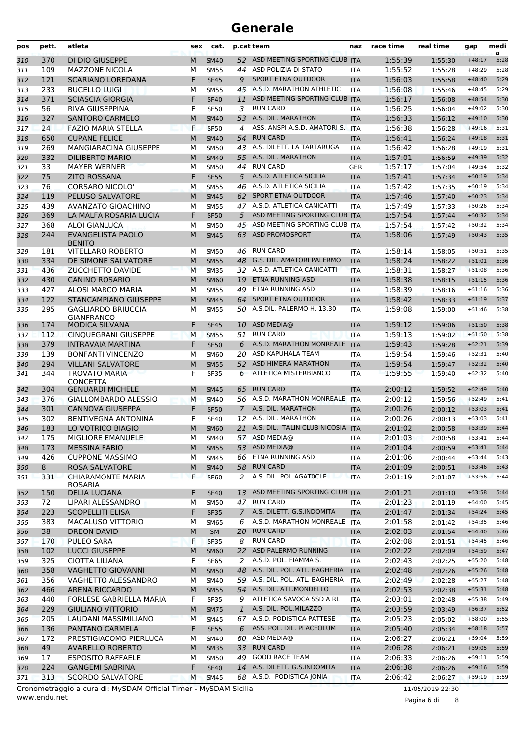| pos        | pett.      | atleta                                                             | sex    | cat.                       |                | p.cat team                                            | naz                      | race time          | real time          | gap                  | medi<br>a    |
|------------|------------|--------------------------------------------------------------------|--------|----------------------------|----------------|-------------------------------------------------------|--------------------------|--------------------|--------------------|----------------------|--------------|
| 310        | 370        | DI DIO GIUSEPPE                                                    | M      | <b>SM40</b>                | 52             | ASD MEETING SPORTING CLUB ITA                         |                          | 1:55:39            | 1:55:30            | $+48:17$             | 5:28         |
| 311        | 109        | <b>MAZZONE NICOLA</b>                                              | М      | <b>SM55</b>                | 44             | ASD POLIZIA DI STATO                                  | <b>ITA</b>               | 1:55:52            | 1:55:28            | $+48:29$             | 5:28         |
| 312        | 121        | <b>SCARIANO LOREDANA</b>                                           | F      | <b>SF45</b>                | 9              | <b>SPORT ETNA OUTDOOR</b>                             | <b>ITA</b>               | 1:56:03            | 1:55:58            | $+48:40$             | 5:29         |
| 313        | 233        | <b>BUCELLO LUIGI</b>                                               | м      | <b>SM55</b>                | 45             | A.S.D. MARATHON ATHLETIC<br>ASD MEETING SPORTING CLUB | <b>ITA</b>               | 1:56:08            | 1:55:46            | $+48:45$             | 5:29         |
| 314        | 371<br>56  | <b>SCIASCIA GIORGIA</b><br>RIVA GIUSEPPINA                         | F<br>F | <b>SF40</b><br><b>SF50</b> | 11<br>3        | <b>RUN CARD</b>                                       | <b>ITA</b><br><b>ITA</b> | 1:56:17<br>1:56:25 | 1:56:08            | $+48:54$<br>$+49:02$ | 5:30<br>5:30 |
| 315<br>316 | 327        | <b>SANTORO CARMELO</b>                                             | M      | <b>SM40</b>                | 53             | A.S. DIL. MARATHON                                    | <b>ITA</b>               | 1:56:33            | 1:56:04<br>1:56:12 | $+49:10$             | 5:30         |
| 317        | 24         | <b>FAZIO MARIA STELLA</b>                                          | F      | <b>SF50</b>                | 4              | ASS. ANSPI A.S.D. AMATORI S. ITA                      |                          | 1:56:38            | 1:56:28            | $+49:16$             | 5:31         |
| 318        | 650        | <b>CUPANE FELICE</b>                                               | M      | <b>SM40</b>                | 54             | <b>RUN CARD</b>                                       | <b>ITA</b>               | 1:56:41            | 1:56:24            | $+49:18$             | 5:31         |
| 319        | 269        | MANGIARACINA GIUSEPPE                                              | м      | <b>SM50</b>                | 43             | A.S. DILETT. LA TARTARUGA                             | ITA                      | 1:56:42            | 1:56:28            | $+49:19$             | 5:31         |
| 320        | 332        | <b>DILIBERTO MARIO</b>                                             | M      | <b>SM40</b>                | 55             | A.S. DIL. MARATHON                                    | <b>ITA</b>               | 1:57:01            | 1:56:59            | $+49:39$             | 5:32         |
| 321        | 33         | <b>MAYER WERNER</b>                                                | М      | <b>SM50</b>                | 44             | <b>RUN CARD</b>                                       | <b>GER</b>               | 1:57:17            | 1:57:04            | $+49:54$             | 5:32         |
| 322        | 75         | <b>ZITO ROSSANA</b>                                                | F      | <b>SF55</b>                | 5              | A.S.D. ATLETICA SICILIA                               | <b>ITA</b>               | 1:57:41            | 1:57:34            | $+50:19$             | 5:34         |
| 323        | 76         | <b>CORSARO NICOLO'</b>                                             | М      | <b>SM55</b>                |                | 46 A.S.D. ATLETICA SICILIA                            | <b>ITA</b>               | 1:57:42            | 1:57:35            | $+50:19$             | 5:34         |
| 324        | 119        | PELUSO SALVATORE                                                   | M      | <b>SM45</b>                | 62             | <b>SPORT ETNA OUTDOOR</b>                             | <b>ITA</b>               | 1:57:46            | 1:57:40            | $+50:23$             | 5:34         |
| 325        | 439        | AVANZATO GIOACHINO                                                 | М      | <b>SM55</b>                | 47.            | A.S.D. ATLETICA CANICATTI                             | <b>ITA</b>               | 1:57:49            | 1:57:33            | $+50:26$             | 5:34         |
| 326        | 369        | LA MALFA ROSARIA LUCIA                                             | F      | <b>SF50</b>                | 5              | ASD MEETING SPORTING CLUB ITA                         |                          | 1:57:54            | 1:57:44            | $+50:32$             | 5:34         |
| 327        | 368        | <b>ALOI GIANLUCA</b>                                               | М      | <b>SM50</b>                | 45             | ASD MEETING SPORTING CLUB ITA                         |                          | 1:57:54            | 1:57:42            | $+50:32$             | 5:34         |
| 328        | 244        | <b>EVANGELISTA PAOLO</b><br><b>BENITO</b>                          | M      | <b>SM45</b>                | 63             | <b>ASD PROMOSPORT</b><br><b>RUN CARD</b>              | <b>ITA</b>               | 1:58:06            | 1:57:49            | $+50:43$             | 5:35<br>5:35 |
| 329        | 181<br>334 | <b>VITELLARO ROBERTO</b><br>DE SIMONE SALVATORE                    | м<br>M | <b>SM50</b>                | 46             | 48 G.S. DIL. AMATORI PALERMO                          | ITA                      | 1:58:14<br>1:58:24 | 1:58:05            | $+50:51$<br>$+51:01$ | 5:36         |
| 330<br>331 | 436        | ZUCCHETTO DAVIDE                                                   | M      | <b>SM55</b><br><b>SM35</b> |                | 32 A.S.D. ATLETICA CANICATTI                          | <b>ITA</b><br><b>ITA</b> | 1:58:31            | 1:58:22<br>1:58:27 | $+51:08$             | 5:36         |
| 332        | 430        | <b>CANINO ROSARIO</b>                                              | M      | <b>SM60</b>                | 19             | ETNA RUNNING ASD                                      | <b>ITA</b>               | 1:58:38            | 1:58:15            | $+51:15$             | 5:36         |
| 333        | 427        | ALOSI MARCO MARIA                                                  | М      | <b>SM55</b>                | 49             | <b>ETNA RUNNING ASD</b>                               | <b>ITA</b>               | 1:58:39            | 1:58:16            | $+51:16$             | 5:36         |
| 334        | 122        | <b>STANCAMPIANO GIUSEPPE</b>                                       | M      | <b>SM45</b>                | 64             | SPORT ETNA OUTDOOR                                    | <b>ITA</b>               | 1:58:42            | 1:58:33            | $+51:19$             | 5:37         |
| 335        | 295        | <b>GAGLIARDO BRIUCCIA</b>                                          | м      | <b>SM55</b>                |                | 50 A.S.DIL. PALERMO H. 13,30                          | <b>ITA</b>               | 1:59:08            | 1:59:00            | $+51:46$             | 5:38         |
|            |            | <b>GIANFRANCO</b>                                                  |        |                            |                |                                                       |                          |                    |                    |                      |              |
| 336        | 174        | <b>MODICA SILVANA</b>                                              | F      | <b>SF45</b>                | 10             | ASD MEDIA@                                            | <b>ITA</b>               | 1:59:12            | 1:59:06            | $+51:50$             | 5:38         |
| 337        | 112        | CINQUEGRANI GIUSEPPE                                               | M      | <b>SM55</b>                |                | 51 RUN CARD                                           | <b>ITA</b>               | 1:59:13            | 1:59:02            | $+51:50$             | 5:38         |
| 338        | 379        | <b>INTRAVAIA MARTINA</b>                                           | F      | <b>SF50</b>                | 6              | A.S.D. MARATHON MONREALE                              | <b>ITA</b>               | 1:59:43            | 1:59:28            | $+52:21$             | 5:39         |
| 339        | 139        | <b>BONFANTI VINCENZO</b>                                           | м      | <b>SM60</b>                | 20             | ASD KAPUHALA TEAM                                     | <b>ITA</b>               | 1:59:54            | 1:59:46            | $+52:31$             | 5:40         |
| 340        | 294        | <b>VILLANI SALVATORE</b>                                           | M      | <b>SM55</b>                | 52             | <b>ASD HIMERA MARATHON</b>                            | <b>ITA</b>               | 1:59:54            | 1:59:47            | $+52:32$             | 5:40         |
| 341<br>342 | 344<br>304 | <b>TROVATO MARIA</b><br><b>CONCETTA</b><br><b>GENUARDI MICHELE</b> | F<br>M | <b>SF35</b><br><b>SM45</b> | 6<br>65        | ATLETICA MISTERBIANCO<br><b>RUN CARD</b>              | <b>ITA</b><br><b>ITA</b> | 1:59:55<br>2:00:12 | 1:59:40<br>1:59:52 | $+52:32$<br>$+52:49$ | 5:40<br>5:40 |
| 343        | 376        | GIALLOMBARDO ALESSIO                                               | M      | <b>SM40</b>                |                | 56 A.S.D. MARATHON MONREALE                           | <b>ITA</b>               | 2:00:12            | 1:59:56            | $+52:49$             | 5:41         |
| 344        | 301        | <b>CANNOVA GIUSEPPA</b>                                            | F      | <b>SF50</b>                | $\overline{7}$ | A.S. DIL. MARATHON                                    | <b>ITA</b>               | 2:00:26            | 2:00:12            | $+53:03$             | 5:41         |
| 345        | 302        | <b>BENTIVEGNA ANTONINA</b>                                         | F      | <b>SF40</b>                | 12             | A.S. DIL. MARATHON                                    | <b>ITA</b>               | 2:00:26            | 2:00:13            | $+53:03$             | 5:41         |
| 346        | 183        | LO VOTRICO BIAGIO                                                  | M      | <b>SM60</b>                | 21             | A.S. DIL. TALIN CLUB NICOSIA                          | <b>ITA</b>               | 2:01:02            | 2:00:58            | $+53:39$             | 5:44         |
| 347        | 175        | MIGLIORE EMANUELE                                                  | м      | <b>SM40</b>                |                | 57 ASD MEDIA@                                         | <b>ITA</b>               | 2:01:03            | 2:00:58            | $+53:41$             | 5:44         |
| 348        | 173        | <b>MESSINA FABIO</b>                                               | M      | <b>SM55</b>                |                | 53 ASD MEDIA@                                         | <b>ITA</b>               | 2:01:04            | 2:00:59            | $+53:41$             | 5:44         |
| 349        | 426        | <b>CUPPONE MASSIMO</b>                                             | М      | <b>SM45</b>                | 66             | ETNA RUNNING ASD                                      | <b>ITA</b>               | 2:01:06            | 2:00:44            | $+53:44$             | 5:43         |
| 350        | 8          | <b>ROSA SALVATORE</b>                                              | M      | <b>SM40</b>                |                | 58 RUN CARD                                           | <b>ITA</b>               | 2:01:09            | 2:00:51            | $+53:46$             | 5:43         |
| 351        | 331        | <b>CHIARAMONTE MARIA</b><br>ROSARIA                                | F.     | <b>SF60</b>                | 2              | A.S. DIL. POL.AGATOCLE                                | <b>ITA</b>               | 2:01:19            | 2:01:07            | $+53:56$             | 5:44         |
| 352        | 150        | <b>DELIA LUCIANA</b>                                               | F      | <b>SF40</b>                | 13             | ASD MEETING SPORTING CLUB                             | <b>ITA</b>               | 2:01:21            | 2:01:10            | $+53:58$             | 5:44         |
| 353        | 72         | LIPARI ALESSANDRO                                                  | М      | <b>SM50</b>                | 47             | <b>RUN CARD</b>                                       | ITA                      | 2:01:23            | 2:01:19            | $+54:00$             | 5:45         |
| 354        | 223        | <b>SCOPELLITI ELISA</b>                                            | F      | <b>SF35</b>                | $\mathcal{I}$  | A.S. DILETT. G.S.INDOMITA                             | <b>ITA</b>               | 2:01:47            | 2:01:34            | $+54:24$             | 5:45         |
| 355        | 383        | MACALUSO VITTORIO                                                  | М      | <b>SM65</b>                | 6              | A.S.D. MARATHON MONREALE<br>20 RUN CARD               | <b>ITA</b>               | 2:01:58            | 2:01:42            | $+54:35$             | 5:46         |
| 356        | 38<br>170  | <b>DREON DAVID</b><br><b>PULEO SARA</b>                            | M<br>F | SM<br><b>SF35</b>          | 8              | <b>RUN CARD</b>                                       | <b>ITA</b>               | 2:02:03<br>2:02:08 | 2:01:54            | $+54:40$<br>$+54:45$ | 5:46<br>5:46 |
| 357        | 102        | <b>LUCCI GIUSEPPE</b>                                              | M      | <b>SM60</b>                |                | 22 ASD PALERMO RUNNING                                | <b>ITA</b><br><b>ITA</b> | 2:02:22            | 2:01:51            | $+54:59$             | 5:47         |
| 358<br>359 | 325        | <b>CIOTTA LILIANA</b>                                              | F      | <b>SF65</b>                | 2              | A.S.D. POL. FIAMMA S.                                 | <b>ITA</b>               | 2:02:43            | 2:02:09<br>2:02:25 | $+55:20$             | 5:48         |
| 360        | 358        | <b>VAGHETTO GIOVANNI</b>                                           | M      | <b>SM50</b>                |                | 48 A.S. DIL. POL. ATL. BAGHERIA                       | <b>ITA</b>               | 2:02:48            | 2:02:26            | $+55:26$             | 5:48         |
| 361        | 356        | VAGHETTO ALESSANDRO                                                | м      | SM40                       |                | 59 A.S. DIL. POL. ATL. BAGHERIA                       | <b>ITA</b>               | 2:02:49            | 2:02:28            | $+55:27$             | 5:48         |
| 362        | 466        | <b>ARENA RICCARDO</b>                                              | M      | <b>SM55</b>                |                | 54 A.S. DIL. ATL.MONDELLO                             | <b>ITA</b>               | 2:02:53            | 2:02:38            | $+55:31$             | 5:48         |
| 363        | 440        | FORLESE GABRIELLA MARIA                                            | F      | <b>SF35</b>                |                | 9 ATLETICA SAVOCA SSD A RL                            | <b>ITA</b>               | 2:03:01            | 2:02:48            | $+55:38$             | 5:49         |
| 364        | 229        | <b>GIULIANO VITTORIO</b>                                           | M      | <b>SM75</b>                | $\mathbf{1}$   | A.S. DIL. POL.MILAZZO                                 | <b>ITA</b>               | 2:03:59            | 2:03:49            | $+56:37$             | 5:52         |
| 365        | 205        | LAUDANI MASSIMILIANO                                               | M      | <b>SM45</b>                |                | 67 A.S.D. PODISTICA PATTESE                           | <b>ITA</b>               | 2:05:23            | 2:05:02            | $+58:00$             | 5:55         |
| 366        | 136        | PANTANO CARMELA                                                    | F      | <b>SF55</b>                | 6              | ASS. POL. DIL. PLACEOLUM                              | <b>ITA</b>               | 2:05:40            | 2:05:34            | $+58:18$             | 5:57         |
| 367        | 172        | PRESTIGIACOMO PIERLUCA                                             | м      | SM40                       | 60             | ASD MEDIA@                                            | <b>ITA</b>               | 2:06:27            | 2:06:21            | $+59:04$             | 5:59         |
| 368        | 49         | <b>AVARELLO ROBERTO</b>                                            | M      | <b>SM35</b>                | 33             | <b>RUN CARD</b>                                       | <b>ITA</b>               | 2:06:28            | 2:06:21            | $+59:05$             | 5:59         |
| 369        | 17         | <b>ESPOSITO RAFFAELE</b>                                           | М      | <b>SM50</b>                |                | 49 GOOD RACE TEAM                                     | <b>ITA</b>               | 2:06:33            | 2:06:26            | $+59:11$             | 5:59         |
| 370        | 224        | <b>GANGEMI SABRINA</b>                                             | F      | <b>SF40</b>                |                | 14 A.S. DILETT. G.S.INDOMITA                          | <b>ITA</b>               | 2:06:38            | 2:06:26            | $+59:16$             | 5:59         |
| 371        | 313        | <b>SCORDO SALVATORE</b>                                            | M      | <b>SM45</b>                |                | 68 A.S.D. PODISTICA JONIA                             | ITA                      | 2:06:42            | 2:06:27            | $+59:19$             | 5:59         |

www.endu.net Cronometraggio a cura di: MySDAM Official Timer - MySDAM Sicilia 11/05/2019 22:30

Pagina 6 di 8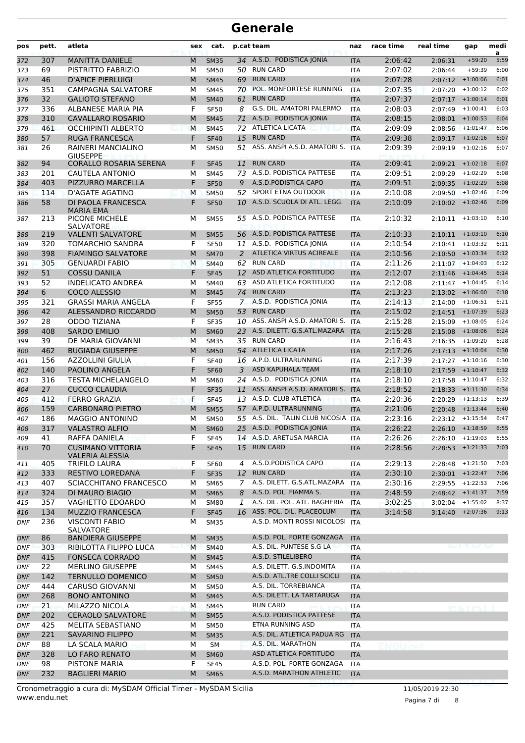| pos        | pett. | atleta                                             | sex | cat.        |              | p.cat team                      | naz        | race time | real time           | gap        | medi<br>a |
|------------|-------|----------------------------------------------------|-----|-------------|--------------|---------------------------------|------------|-----------|---------------------|------------|-----------|
| 372        | 307   | <b>MANITTA DANIELE</b>                             | M   | <b>SM35</b> |              | 34 A.S.D. PODISTICA JONIA       | <b>ITA</b> | 2:06:42   | 2:06:31             | $+59:20$   | 5:59      |
| 373        | 69    | PISTRITTO FABRIZIO                                 | М   | <b>SM50</b> |              | 50 RUN CARD                     | <b>ITA</b> | 2:07:02   | 2:06:44             | $+59:39$   | 6:00      |
| 374        | 46    | <b>D'APICE PIERLUIGI</b>                           | M   | <b>SM45</b> | 69           | <b>RUN CARD</b>                 | <b>ITA</b> | 2:07:28   | $2:07:12$ +1:00:06  |            | 6:01      |
| 375        | 351   | <b>CAMPAGNA SALVATORE</b>                          | М   | <b>SM45</b> | 70           | POL. MONFORTESE RUNNING         | <b>ITA</b> | 2:07:35   | 2:07:20             | $+1:00:12$ | 6:02      |
| 376        | 32    | <b>GALIOTO STEFANO</b>                             | M   | <b>SM40</b> | 61           | <b>RUN CARD</b>                 | <b>ITA</b> | 2:07:37   | $2:07:17$ +1:00:14  |            | 6:01      |
| 377        | 336   | ALBANESE MARIA PIA                                 | F   | <b>SF50</b> | 8            | G.S. DIL. AMATORI PALERMO       | <b>ITA</b> | 2:08:03   | $2:07:49$ +1:00:41  |            | 6:03      |
| 378        | 310   | <b>CAVALLARO ROSARIO</b>                           | M   | <b>SM45</b> | 71           | A.S.D. PODISTICA JONIA          | <b>ITA</b> | 2:08:15   | $2:08:01$ +1:00:53  |            | 6:04      |
| 379        | 461   | <b>OCCHIPINTI ALBERTO</b>                          | М   | <b>SM45</b> |              | 72 ATLETICA LICATA              | <b>ITA</b> | 2:09:09   | $2:08:56$ +1:01:47  |            | 6:06      |
| 380        | 57    | <b>RUGA FRANCESCA</b>                              | F   | <b>SF40</b> | 15           | <b>RUN CARD</b>                 | <b>ITA</b> | 2:09:38   | 2:09:17             | $+1:02:16$ | 6:07      |
| 381        | 26    | RAINERI MANCIALINO<br><b>GIUSEPPE</b>              | М   | <b>SM50</b> | 51           | ASS. ANSPI A.S.D. AMATORI S.    | <b>ITA</b> | 2:09:39   | 2:09:19             | $+1:02:16$ | 6:07      |
| 382        | 94    | <b>CORALLO ROSARIA SERENA</b>                      | F   | <b>SF45</b> | 11           | <b>RUN CARD</b>                 | <b>ITA</b> | 2:09:41   | 2:09:21             | $+1:02:18$ | 6:07      |
| 383        | 201   | CAUTELA ANTONIO                                    | М   | <b>SM45</b> | 73           | A.S.D. PODISTICA PATTESE        | <b>ITA</b> | 2:09:51   | 2:09:29             | $+1:02:29$ | 6:08      |
| 384        | 403   | PIZZURRO MARCELLA                                  | F   | <b>SF50</b> | 9            | A.S.D. PODISTICA CAPO           | <b>ITA</b> | 2:09:51   | 2:09:35             | $+1:02:29$ | 6:08      |
| 385        | 114   | <b>D'AGATE AGATINO</b>                             | M   | <b>SM50</b> | 52           | SPORT ETNA OUTDOOR              | <b>ITA</b> | 2:10:08   | $2:09:50$ +1:02:46  |            | 6:09      |
| 386        | 58    | DI PAOLA FRANCESCA<br><b>MARIA EMA</b>             | F   | <b>SF50</b> |              | 10 A.S.D. SCUOLA DI ATL. LEGG.  | <b>ITA</b> | 2:10:09   | $2:10:02$ +1:02:46  |            | 6:09      |
| 387        | 213   | PICONE MICHELE<br><b>SALVATORE</b>                 | м   | <b>SM55</b> | 55           | A.S.D. PODISTICA PATTESE        | <b>ITA</b> | 2:10:32   | 2:10:11             | $+1:03:10$ | 6:10      |
| 388        | 219   | <b>VALENTI SALVATORE</b>                           | M   | <b>SM55</b> |              | 56 A.S.D. PODISTICA PATTESE     | <b>ITA</b> | 2:10:33   | $2:10:11$ +1:03:10  |            | 6:10      |
| 389        | 320   | TOMARCHIO SANDRA                                   | F   | <b>SF50</b> |              | 11 A.S.D. PODISTICA JONIA       | <b>ITA</b> | 2:10:54   | 2:10:41             | $+1:03:32$ | 6:11      |
| 390        | 398   | <b>FIAMINGO SALVATORE</b>                          | M   | <b>SM70</b> | 2            | ATLETICA VIRTUS ACIREALE        | <b>ITA</b> | 2:10:56   | 2:10:50             | $+1:03:34$ | 6:12      |
| 391        | 305   | <b>GENUARDI FABIO</b>                              | M   | <b>SM40</b> |              | 62 RUN CARD                     | <b>ITA</b> | 2:11:26   | $2:11:07$ +1:04:03  |            | 6:12      |
| 392        | 51    | <b>COSSU DANILA</b>                                | F   | <b>SF45</b> |              | 12 ASD ATLETICA FORTITUDO       | <b>ITA</b> | 2:12:07   | 2:11:46             | $+1:04:45$ | 6:14      |
| 393        | 52    | <b>INDELICATO ANDREA</b>                           | M   | <b>SM40</b> |              | 63 ASD ATLETICA FORTITUDO       | <b>ITA</b> | 2:12:08   | 2:11:47             | $+1:04:45$ | 6:14      |
| 394        | 6     | COCO ALESSIO                                       | M   | <b>SM45</b> |              | 74 RUN CARD                     | <b>ITA</b> | 2:13:23   | $2:13:02$ +1:06:00  |            | 6:18      |
| 395        | 321   | <b>GRASSI MARIA ANGELA</b>                         | F   | <b>SF55</b> |              | 7 A.S.D. PODISTICA JONIA        | <b>ITA</b> | 2:14:13   | 2:14:00             | $+1:06:51$ | 6:21      |
| 396        | 42    | ALESSANDRO RICCARDO                                | M   | <b>SM50</b> | 53           | <b>RUN CARD</b>                 | <b>ITA</b> | 2:15:02   | 2:14:51             | $+1:07:39$ | 6:23      |
| 397        | 28    | <b>ODDO TIZIANA</b>                                | F   | <b>SF35</b> |              | 10 ASS. ANSPI A.S.D. AMATORI S. | <b>ITA</b> | 2:15:28   | 2:15:09             | $+1:08:05$ | 6:24      |
| 398        | 408   | <b>SARDO EMILIO</b>                                | M   | <b>SM60</b> |              | 23 A.S. DILETT. G.S.ATL.MAZARA  | <b>ITA</b> | 2:15:28   | 2:15:08             | $+1:08:06$ | 6:24      |
| 399        | 39    | DE MARIA GIOVANNI                                  | M   | <b>SM35</b> |              | 35 RUN CARD                     | <b>ITA</b> | 2:16:43   | 2:16:35             | $+1:09:20$ | 6:28      |
| 400        | 462   | <b>BUGIADA GIUSEPPE</b>                            | M   | <b>SM50</b> |              | 54 ATLETICA LICATA              | <b>ITA</b> | 2:17:26   | $2:17:13 + 1:10:04$ |            | 6:30      |
| 401        | 156   | <b>AZZOLLINI GIULIA</b>                            | F   | <b>SF40</b> |              | 16 A.P.D. ULTRARUNNING          | <b>ITA</b> | 2:17:39   | $2:17:27$ +1:10:16  |            | 6:30      |
| 402        | 140   | PAOLINO ANGELA                                     | F   | <b>SF60</b> | 3            | ASD KAPUHALA TEAM               | <b>ITA</b> | 2:18:10   | 2:17:59             | $+1:10:47$ | 6:32      |
| 403        | 316   | TESTA MICHELANGELO                                 | М   | <b>SM60</b> |              | 24 A.S.D. PODISTICA JONIA       | <b>ITA</b> | 2:18:10   | 2:17:58             | $+1:10:47$ | 6:32      |
| 404        | 27    | <b>CUCCO CLAUDIA</b>                               | F   | <b>SF35</b> | 11           | ASS. ANSPI A.S.D. AMATORI S.    | <b>ITA</b> | 2:18:52   | 2:18:33             | $+1:11:30$ | 6:34      |
| 405        | 412   | <b>FERRO GRAZIA</b>                                | F   | <b>SF45</b> |              | 13 A.S.D. CLUB ATLETICA         | <b>ITA</b> | 2:20:36   | $2:20:29$ +1:13:13  |            | 6:39      |
| 406        | 159   | <b>CARBONARO PIETRO</b>                            | M   | <b>SM55</b> |              | 57 A.P.D. ULTRARUNNING          | <b>ITA</b> | 2:21:06   | 2:20:48             | $+1:13:44$ | 6:40      |
| 407        | 186   | <b>MAGGIO ANTONINO</b>                             | М   | <b>SM50</b> |              | 55 A.S. DIL. TALIN CLUB NICOSIA | <b>ITA</b> | 2:23:16   | $2:23:12$ +1:15:54  |            | 6:47      |
| 408        | 317   | <b>VALASTRO ALFIO</b>                              | M   | <b>SM60</b> |              | 25 A.S.D. PODISTICA JONIA       | <b>ITA</b> | 2:26:22   | $2:26:10$ +1:18:59  |            | 6:55      |
| 409        | 41    | RAFFA DANIELA                                      | F   | <b>SF45</b> |              | 14 A.S.D. ARETUSA MARCIA        | ITA        | 2:26:26   | $2:26:10 + 1:19:03$ |            | 6:55      |
| 410        | 70    | <b>CUSIMANO VITTORIA</b><br><b>VALERIA ALESSIA</b> | F   | <b>SF45</b> | 15           | <b>RUN CARD</b>                 | <b>ITA</b> | 2:28:56   | $2:28:53$ +1:21:33  |            | 7:03      |
| 411        | 405   | TRIFILO LAURA                                      | F   | <b>SF60</b> | 4            | A.S.D.PODISTICA CAPO            | ITA        | 2:29:13   | $2:28:48$ +1:21:50  |            | 7:03      |
| 412        | 333   | RESTIVO LOREDANA                                   | F   | <b>SF35</b> |              | 12 RUN CARD                     | <b>ITA</b> | 2:30:10   | $2:30:01$ +1:22:47  |            | 7:06      |
| 413        | 407   | SCIACCHITANO FRANCESCO                             | М   | <b>SM65</b> | 7            | A.S. DILETT. G.S.ATL.MAZARA     | <b>ITA</b> | 2:30:16   | $2:29:55 + 1:22:53$ |            | 7:06      |
| 414        | 324   | DI MAURO BIAGIO                                    | M   | <b>SM65</b> | 8            | A.S.D. POL. FIAMMA S.           | <b>ITA</b> | 2:48:59   | $2:48:42$ +1:41:37  |            | 7:59      |
| 415        | 357   | VAGHETTO EDOARDO                                   | М   | <b>SM80</b> | $\mathbf{1}$ | A.S. DIL. POL. ATL. BAGHERIA    | <b>ITA</b> | 3:02:25   | 3:02:04             | $+1:55:02$ | 8:37      |
| 416        | 134   | <b>MUZZIO FRANCESCA</b>                            | F   | <b>SF45</b> |              | 16 ASS. POL. DIL. PLACEOLUM     | <b>ITA</b> | 3:14:58   | $3:14:40 + 2:07:36$ |            | 9:13      |
| <b>DNF</b> | 236   | <b>VISCONTI FABIO</b><br>SALVATORE                 | М   | <b>SM35</b> |              | A.S.D. MONTI ROSSI NICOLOSI ITA |            |           |                     |            |           |
| DNF        | 86    | <b>BANDIERA GIUSEPPE</b>                           | M   | <b>SM35</b> |              | A.S.D. POL. FORTE GONZAGA       | <b>ITA</b> |           |                     |            |           |
| <b>DNF</b> | 303   | RIBILOTTA FILIPPO LUCA                             | М   | <b>SM40</b> |              | A.S. DIL. PUNTESE S.G LA        | <b>ITA</b> |           |                     |            |           |
| DNF        | 415   | <b>FONSECA CORRADO</b>                             | M   | <b>SM45</b> |              | A.S.D. STILELIBERO              | <b>ITA</b> |           |                     |            |           |
| DNF        | 22    | <b>MERLINO GIUSEPPE</b>                            | м   | <b>SM45</b> |              | A.S. DILETT. G.S.INDOMITA       | <b>ITA</b> |           |                     |            |           |
| <b>DNF</b> | 142   | <b>TERNULLO DOMENICO</b>                           | M   | <b>SM50</b> |              | A.S.D. ATL.TRE COLLI SCICLI     | <b>ITA</b> |           |                     |            |           |
| DNF        | 444   | CARUSO GIOVANNI                                    | М   | <b>SM50</b> |              | A.S. DIL. TORREBIANCA           | ITA        |           |                     |            |           |
| DNF        | 268   | <b>BONO ANTONINO</b>                               | М   | <b>SM45</b> |              | A.S. DILETT. LA TARTARUGA       | <b>ITA</b> |           |                     |            |           |
| DNF        | 21    | MILAZZO NICOLA                                     | M   | <b>SM45</b> |              | <b>RUN CARD</b>                 | ITA        |           |                     |            |           |
| DNF        | 202   | <b>CERAOLO SALVATORE</b>                           | M   | <b>SM55</b> |              | A.S.D. PODISTICA PATTESE        | <b>ITA</b> |           |                     |            |           |
| DNF        | 425   | MELITA SEBASTIANO                                  | М   | <b>SM50</b> |              | ETNA RUNNING ASD                | ITA        |           |                     |            |           |
| DNF        | 221   | <b>SAVARINO FILIPPO</b>                            | M   | <b>SM35</b> |              | A.S. DIL. ATLETICA PADUA RG     | <b>ITA</b> |           |                     |            |           |
| DNF        | 88    | LA SCALA MARIO                                     | м   | SM          |              | A.S. DIL. MARATHON              | ITA        |           |                     |            |           |
| <b>DNF</b> | 328   | LO FARO RENATO                                     | M   | <b>SM60</b> |              | ASD ATLETICA FORTITUDO          | <b>ITA</b> |           |                     |            |           |
| <b>DNF</b> | 98    | PISTONE MARIA                                      | F   | <b>SF45</b> |              | A.S.D. POL. FORTE GONZAGA       | ITA        |           |                     |            |           |
| DNF        | 232   | <b>BAGLIERI MARIO</b>                              | M   | <b>SM65</b> |              | A.S.D. MARATHON ATHLETIC        | <b>ITA</b> |           |                     |            |           |